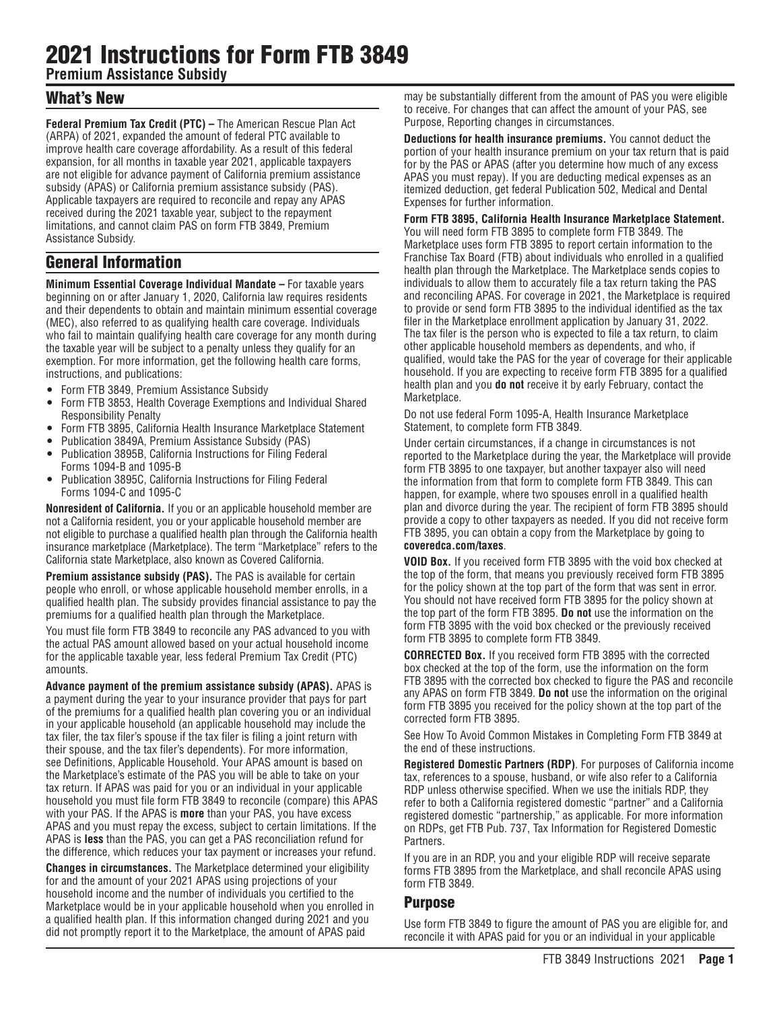# 2021 Instructions for Form FTB 3849

**Premium Assistance Subsidy** 

### What's New

**Federal Premium Tax Credit (PTC) –** The American Rescue Plan Act (ARPA) of 2021, expanded the amount of federal PTC available to improve health care coverage affordability. As a result of this federal expansion, for all months in taxable year 2021, applicable taxpayers are not eligible for advance payment of California premium assistance subsidy (APAS) or California premium assistance subsidy (PAS). Applicable taxpayers are required to reconcile and repay any APAS received during the 2021 taxable year, subject to the repayment limitations, and cannot claim PAS on form FTB 3849, Premium Assistance Subsidy.

## General Information

**Minimum Essential Coverage Individual Mandate –** For taxable years beginning on or after January 1, 2020, California law requires residents and their dependents to obtain and maintain minimum essential coverage (MEC), also referred to as qualifying health care coverage. Individuals who fail to maintain qualifying health care coverage for any month during the taxable year will be subject to a penalty unless they qualify for an exemption. For more information, get the following health care forms, instructions, and publications:

- Form FTB 3849, Premium Assistance Subsidy
- Form FTB 3853, Health Coverage Exemptions and Individual Shared Responsibility Penalty
- Form FTB 3895, California Health Insurance Marketplace Statement
- Publication 3849A, Premium Assistance Subsidy (PAS)
- Publication 3895B, California Instructions for Filing Federal Forms 1094-B and 1095-B
- Publication 3895C, California Instructions for Filing Federal Forms 1094-C and 1095-C

**Nonresident of California.** If you or an applicable household member are not a California resident, you or your applicable household member are not eligible to purchase a qualified health plan through the California health insurance marketplace (Marketplace). The term "Marketplace" refers to the California state Marketplace, also known as Covered California.

**Premium assistance subsidy (PAS).** The PAS is available for certain people who enroll, or whose applicable household member enrolls, in a qualified health plan. The subsidy provides financial assistance to pay the premiums for a qualified health plan through the Marketplace.

You must file form FTB 3849 to reconcile any PAS advanced to you with the actual PAS amount allowed based on your actual household income for the applicable taxable year, less federal Premium Tax Credit (PTC) amounts.

**Advance payment of the premium assistance subsidy (APAS).** APAS is a payment during the year to your insurance provider that pays for part of the premiums for a qualified health plan covering you or an individual in your applicable household (an applicable household may include the tax filer, the tax filer's spouse if the tax filer is filing a joint return with their spouse, and the tax filer's dependents). For more information, see Definitions, Applicable Household. Your APAS amount is based on the Marketplace's estimate of the PAS you will be able to take on your tax return. If APAS was paid for you or an individual in your applicable household you must file form FTB 3849 to reconcile (compare) this APAS with your PAS. If the APAS is **more** than your PAS, you have excess APAS and you must repay the excess, subject to certain limitations. If the APAS is **less** than the PAS, you can get a PAS reconciliation refund for the difference, which reduces your tax payment or increases your refund.

**Changes in circumstances.** The Marketplace determined your eligibility for and the amount of your 2021 APAS using projections of your household income and the number of individuals you certified to the Marketplace would be in your applicable household when you enrolled in a qualified health plan. If this information changed during 2021 and you did not promptly report it to the Marketplace, the amount of APAS paid

may be substantially different from the amount of PAS you were eligible to receive. For changes that can affect the amount of your PAS, see Purpose, Reporting changes in circumstances.

**Deductions for health insurance premiums.** You cannot deduct the portion of your health insurance premium on your tax return that is paid for by the PAS or APAS (after you determine how much of any excess APAS you must repay). If you are deducting medical expenses as an itemized deduction, get federal Publication 502, Medical and Dental Expenses for further information.

### **Form FTB 3895, California Health Insurance Marketplace Statement.**

You will need form FTB 3895 to complete form FTB 3849. The Marketplace uses form FTB 3895 to report certain information to the Franchise Tax Board (FTB) about individuals who enrolled in a qualified health plan through the Marketplace. The Marketplace sends copies to individuals to allow them to accurately file a tax return taking the PAS and reconciling APAS. For coverage in 2021, the Marketplace is required to provide or send form FTB 3895 to the individual identified as the tax filer in the Marketplace enrollment application by January 31, 2022. The tax filer is the person who is expected to file a tax return, to claim other applicable household members as dependents, and who, if qualified, would take the PAS for the year of coverage for their applicable household. If you are expecting to receive form FTB 3895 for a qualified health plan and you **do not** receive it by early February, contact the Marketplace.

Do not use federal Form 1095-A, Health Insurance Marketplace Statement, to complete form FTB 3849.

Under certain circumstances, if a change in circumstances is not reported to the Marketplace during the year, the Marketplace will provide form FTB 3895 to one taxpayer, but another taxpayer also will need the information from that form to complete form FTB 3849. This can happen, for example, where two spouses enroll in a qualified health plan and divorce during the year. The recipient of form FTB 3895 should provide a copy to other taxpayers as needed. If you did not receive form FTB 3895, you can obtain a copy from the Marketplace by going to **coveredca.com/taxes**.

**VOID Box.** If you received form FTB 3895 with the void box checked at the top of the form, that means you previously received form FTB 3895 for the policy shown at the top part of the form that was sent in error. You should not have received form FTB 3895 for the policy shown at the top part of the form FTB 3895. **Do not** use the information on the form FTB 3895 with the void box checked or the previously received form FTB 3895 to complete form FTB 3849.

**CORRECTED Box.** If you received form FTB 3895 with the corrected box checked at the top of the form, use the information on the form FTB 3895 with the corrected box checked to figure the PAS and reconcile any APAS on form FTB 3849. **Do not** use the information on the original form FTB 3895 you received for the policy shown at the top part of the corrected form FTB 3895.

See How To Avoid Common Mistakes in Completing Form FTB 3849 at the end of these instructions.

**Registered Domestic Partners (RDP)**. For purposes of California income tax, references to a spouse, husband, or wife also refer to a California RDP unless otherwise specified. When we use the initials RDP, they refer to both a California registered domestic "partner" and a California registered domestic "partnership," as applicable. For more information on RDPs, get FTB Pub. 737, Tax Information for Registered Domestic Partners.

If you are in an RDP, you and your eligible RDP will receive separate forms FTB 3895 from the Marketplace, and shall reconcile APAS using form FTB 3849.

### Purpose

Use form FTB 3849 to figure the amount of PAS you are eligible for, and reconcile it with APAS paid for you or an individual in your applicable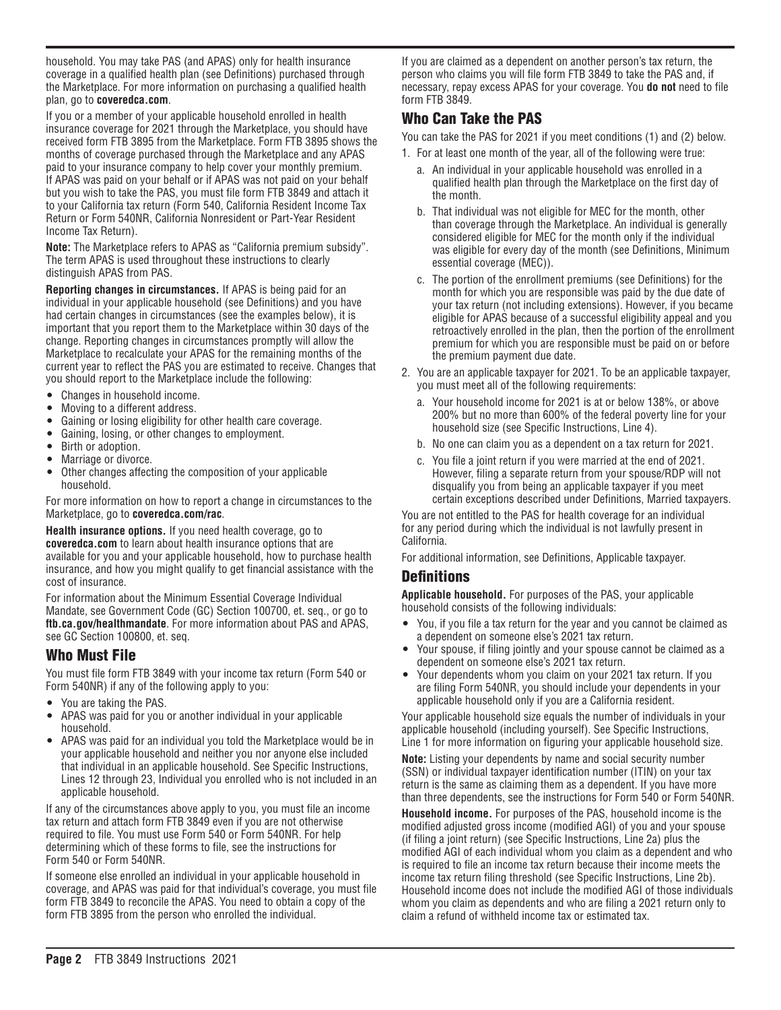household. You may take PAS (and APAS) only for health insurance coverage in a qualified health plan (see Definitions) purchased through the Marketplace. For more information on purchasing a qualified health plan, go to **coveredca.com**.

If you or a member of your applicable household enrolled in health insurance coverage for 2021 through the Marketplace, you should have received form FTB 3895 from the Marketplace. Form FTB 3895 shows the months of coverage purchased through the Marketplace and any APAS paid to your insurance company to help cover your monthly premium. If APAS was paid on your behalf or if APAS was not paid on your behalf but you wish to take the PAS, you must file form FTB 3849 and attach it to your California tax return (Form 540, California Resident Income Tax Return or Form 540NR, California Nonresident or Part-Year Resident Income Tax Return).

**Note:** The Marketplace refers to APAS as "California premium subsidy". The term APAS is used throughout these instructions to clearly distinguish APAS from PAS.

**Reporting changes in circumstances.** If APAS is being paid for an individual in your applicable household (see Definitions) and you have had certain changes in circumstances (see the examples below), it is important that you report them to the Marketplace within 30 days of the change. Reporting changes in circumstances promptly will allow the Marketplace to recalculate your APAS for the remaining months of the current year to reflect the PAS you are estimated to receive. Changes that you should report to the Marketplace include the following:

- Changes in household income.
- Moving to a different address.
- Gaining or losing eligibility for other health care coverage.
- Gaining, losing, or other changes to employment.
- Birth or adoption.
- Marriage or divorce.
- Other changes affecting the composition of your applicable household.

For more information on how to report a change in circumstances to the Marketplace, go to **coveredca.com/rac**.

**Health insurance options.** If you need health coverage, go to **coveredca.com** to learn about health insurance options that are available for you and your applicable household, how to purchase health insurance, and how you might qualify to get financial assistance with the cost of insurance.

For information about the Minimum Essential Coverage Individual Mandate, see Government Code (GC) Section 100700, et. seq., or go to **ftb.ca.gov/healthmandate**. For more information about PAS and APAS, see GC Section 100800, et. seq.

### Who Must File

You must file form FTB 3849 with your income tax return (Form 540 or Form 540NR) if any of the following apply to you:

- You are taking the PAS.
- APAS was paid for you or another individual in your applicable household.
- APAS was paid for an individual you told the Marketplace would be in your applicable household and neither you nor anyone else included that individual in an applicable household. See Specific Instructions, Lines 12 through 23, Individual you enrolled who is not included in an applicable household.

If any of the circumstances above apply to you, you must file an income tax return and attach form FTB 3849 even if you are not otherwise required to file. You must use Form 540 or Form 540NR. For help determining which of these forms to file, see the instructions for Form 540 or Form 540NR.

If someone else enrolled an individual in your applicable household in coverage, and APAS was paid for that individual's coverage, you must file form FTB 3849 to reconcile the APAS. You need to obtain a copy of the form FTB 3895 from the person who enrolled the individual.

If you are claimed as a dependent on another person's tax return, the person who claims you will file form FTB 3849 to take the PAS and, if necessary, repay excess APAS for your coverage. You **do not** need to file form FTB 3849.

### Who Can Take the PAS

You can take the PAS for 2021 if you meet conditions (1) and (2) below.

- 1. For at least one month of the year, all of the following were true:
	- a. An individual in your applicable household was enrolled in a qualified health plan through the Marketplace on the first day of the month.
	- b. That individual was not eligible for MEC for the month, other than coverage through the Marketplace. An individual is generally considered eligible for MEC for the month only if the individual was eligible for every day of the month (see Definitions, Minimum essential coverage (MEC)).
	- c. The portion of the enrollment premiums (see Definitions) for the month for which you are responsible was paid by the due date of your tax return (not including extensions). However, if you became eligible for APAS because of a successful eligibility appeal and you retroactively enrolled in the plan, then the portion of the enrollment premium for which you are responsible must be paid on or before the premium payment due date.
- 2. You are an applicable taxpayer for 2021. To be an applicable taxpayer, you must meet all of the following requirements:
	- a. Your household income for 2021 is at or below 138%, or above 200% but no more than 600% of the federal poverty line for your household size (see Specific Instructions, Line 4).
	- b. No one can claim you as a dependent on a tax return for 2021.
	- c. You file a joint return if you were married at the end of 2021. However, filing a separate return from your spouse/RDP will not disqualify you from being an applicable taxpayer if you meet certain exceptions described under Definitions, Married taxpayers.

You are not entitled to the PAS for health coverage for an individual for any period during which the individual is not lawfully present in California.

For additional information, see Definitions, Applicable taxpayer.

### **Definitions**

**Applicable household.** For purposes of the PAS, your applicable household consists of the following individuals:

- You, if you file a tax return for the year and you cannot be claimed as a dependent on someone else's 2021 tax return.
- Your spouse, if filing jointly and your spouse cannot be claimed as a dependent on someone else's 2021 tax return.
- Your dependents whom you claim on your 2021 tax return. If you are filing Form 540NR, you should include your dependents in your applicable household only if you are a California resident.

Your applicable household size equals the number of individuals in your applicable household (including yourself). See Specific Instructions, Line 1 for more information on figuring your applicable household size.

**Note:** Listing your dependents by name and social security number (SSN) or individual taxpayer identification number (ITIN) on your tax return is the same as claiming them as a dependent. If you have more than three dependents, see the instructions for Form 540 or Form 540NR.

**Household income.** For purposes of the PAS, household income is the modified adjusted gross income (modified AGI) of you and your spouse (if filing a joint return) (see Specific Instructions, Line 2a) plus the modified AGI of each individual whom you claim as a dependent and who is required to file an income tax return because their income meets the income tax return filing threshold (see Specific Instructions, Line 2b). Household income does not include the modified AGI of those individuals whom you claim as dependents and who are filing a 2021 return only to claim a refund of withheld income tax or estimated tax.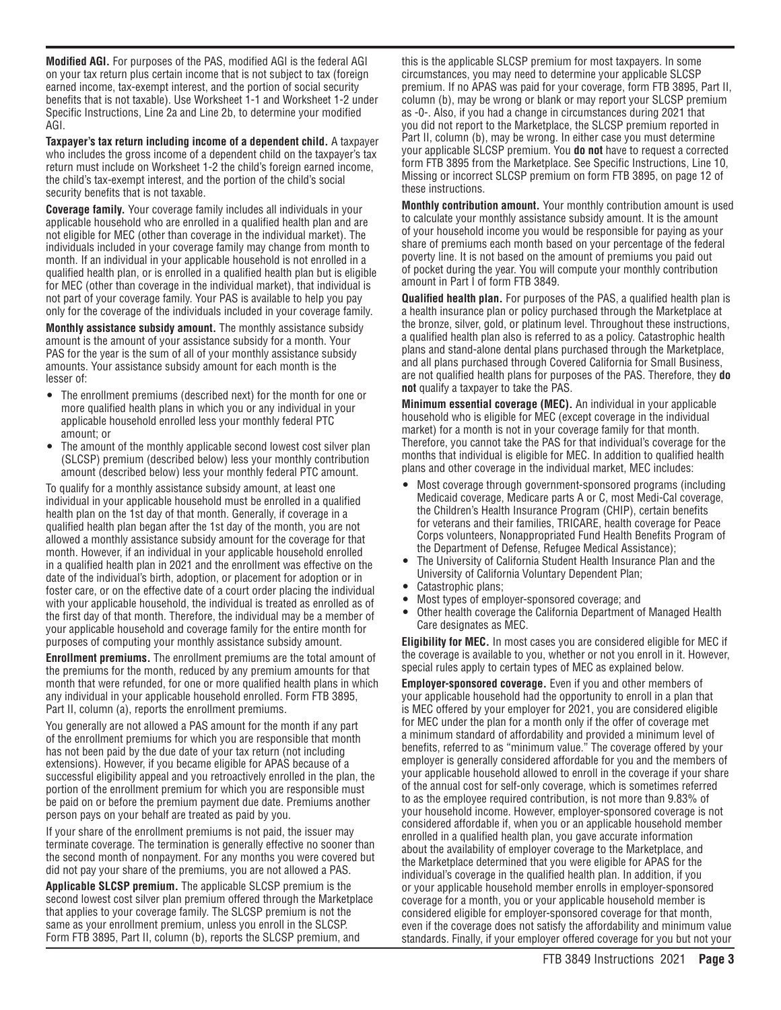**Modified AGI.** For purposes of the PAS, modified AGI is the federal AGI on your tax return plus certain income that is not subject to tax (foreign earned income, tax-exempt interest, and the portion of social security benefits that is not taxable). Use Worksheet 1-1 and Worksheet 1-2 under Specific Instructions, Line 2a and Line 2b, to determine your modified AGI.

**Taxpayer's tax return including income of a dependent child.** A taxpayer who includes the gross income of a dependent child on the taxpayer's tax return must include on Worksheet 1-2 the child's foreign earned income, the child's tax-exempt interest, and the portion of the child's social security benefits that is not taxable.

**Coverage family.** Your coverage family includes all individuals in your applicable household who are enrolled in a qualified health plan and are not eligible for MEC (other than coverage in the individual market). The individuals included in your coverage family may change from month to month. If an individual in your applicable household is not enrolled in a qualified health plan, or is enrolled in a qualified health plan but is eligible for MEC (other than coverage in the individual market), that individual is not part of your coverage family. Your PAS is available to help you pay only for the coverage of the individuals included in your coverage family.

**Monthly assistance subsidy amount.** The monthly assistance subsidy amount is the amount of your assistance subsidy for a month. Your PAS for the year is the sum of all of your monthly assistance subsidy amounts. Your assistance subsidy amount for each month is the lesser of:

- The enrollment premiums (described next) for the month for one or more qualified health plans in which you or any individual in your applicable household enrolled less your monthly federal PTC amount; or
- The amount of the monthly applicable second lowest cost silver plan (SLCSP) premium (described below) less your monthly contribution amount (described below) less your monthly federal PTC amount.

To qualify for a monthly assistance subsidy amount, at least one individual in your applicable household must be enrolled in a qualified health plan on the 1st day of that month. Generally, if coverage in a qualified health plan began after the 1st day of the month, you are not allowed a monthly assistance subsidy amount for the coverage for that month. However, if an individual in your applicable household enrolled in a qualified health plan in 2021 and the enrollment was effective on the date of the individual's birth, adoption, or placement for adoption or in foster care, or on the effective date of a court order placing the individual with your applicable household, the individual is treated as enrolled as of the first day of that month. Therefore, the individual may be a member of your applicable household and coverage family for the entire month for purposes of computing your monthly assistance subsidy amount.

**Enrollment premiums.** The enrollment premiums are the total amount of the premiums for the month, reduced by any premium amounts for that month that were refunded, for one or more qualified health plans in which any individual in your applicable household enrolled. Form FTB 3895, Part II, column (a), reports the enrollment premiums.

You generally are not allowed a PAS amount for the month if any part of the enrollment premiums for which you are responsible that month has not been paid by the due date of your tax return (not including extensions). However, if you became eligible for APAS because of a successful eligibility appeal and you retroactively enrolled in the plan, the portion of the enrollment premium for which you are responsible must be paid on or before the premium payment due date. Premiums another person pays on your behalf are treated as paid by you.

If your share of the enrollment premiums is not paid, the issuer may terminate coverage. The termination is generally effective no sooner than the second month of nonpayment. For any months you were covered but did not pay your share of the premiums, you are not allowed a PAS.

**Applicable SLCSP premium.** The applicable SLCSP premium is the second lowest cost silver plan premium offered through the Marketplace that applies to your coverage family. The SLCSP premium is not the same as your enrollment premium, unless you enroll in the SLCSP. Form FTB 3895, Part II, column (b), reports the SLCSP premium, and

this is the applicable SLCSP premium for most taxpayers. In some circumstances, you may need to determine your applicable SLCSP premium. If no APAS was paid for your coverage, form FTB 3895, Part II, column (b), may be wrong or blank or may report your SLCSP premium as -0-. Also, if you had a change in circumstances during 2021 that you did not report to the Marketplace, the SLCSP premium reported in Part II, column (b), may be wrong. In either case you must determine your applicable SLCSP premium. You **do not** have to request a corrected form FTB 3895 from the Marketplace. See Specific Instructions, Line 10, Missing or incorrect SLCSP premium on form FTB 3895, on page 12 of these instructions.

**Monthly contribution amount.** Your monthly contribution amount is used to calculate your monthly assistance subsidy amount. It is the amount of your household income you would be responsible for paying as your share of premiums each month based on your percentage of the federal poverty line. It is not based on the amount of premiums you paid out of pocket during the year. You will compute your monthly contribution amount in Part I of form FTB 3849.

**Qualified health plan.** For purposes of the PAS, a qualified health plan is a health insurance plan or policy purchased through the Marketplace at the bronze, silver, gold, or platinum level. Throughout these instructions, a qualified health plan also is referred to as a policy. Catastrophic health plans and stand-alone dental plans purchased through the Marketplace, and all plans purchased through Covered California for Small Business, are not qualified health plans for purposes of the PAS. Therefore, they **do not** qualify a taxpayer to take the PAS.

**Minimum essential coverage (MEC).** An individual in your applicable household who is eligible for MEC (except coverage in the individual market) for a month is not in your coverage family for that month. Therefore, you cannot take the PAS for that individual's coverage for the months that individual is eligible for MEC. In addition to qualified health plans and other coverage in the individual market, MEC includes:

- Most coverage through government-sponsored programs (including Medicaid coverage, Medicare parts A or C, most Medi-Cal coverage, the Children's Health Insurance Program (CHIP), certain benefits for veterans and their families, TRICARE, health coverage for Peace Corps volunteers, Nonappropriated Fund Health Benefits Program of the Department of Defense, Refugee Medical Assistance);
- The University of California Student Health Insurance Plan and the University of California Voluntary Dependent Plan;
- Catastrophic plans;
- Most types of employer-sponsored coverage; and
- Other health coverage the California Department of Managed Health Care designates as MEC.

**Eligibility for MEC.** In most cases you are considered eligible for MEC if the coverage is available to you, whether or not you enroll in it. However, special rules apply to certain types of MEC as explained below.

**Employer-sponsored coverage.** Even if you and other members of your applicable household had the opportunity to enroll in a plan that is MEC offered by your employer for 2021, you are considered eligible for MEC under the plan for a month only if the offer of coverage met a minimum standard of affordability and provided a minimum level of benefits, referred to as "minimum value." The coverage offered by your employer is generally considered affordable for you and the members of your applicable household allowed to enroll in the coverage if your share of the annual cost for self-only coverage, which is sometimes referred to as the employee required contribution, is not more than 9.83% of your household income. However, employer-sponsored coverage is not considered affordable if, when you or an applicable household member enrolled in a qualified health plan, you gave accurate information about the availability of employer coverage to the Marketplace, and the Marketplace determined that you were eligible for APAS for the individual's coverage in the qualified health plan. In addition, if you or your applicable household member enrolls in employer-sponsored coverage for a month, you or your applicable household member is considered eligible for employer-sponsored coverage for that month, even if the coverage does not satisfy the affordability and minimum value standards. Finally, if your employer offered coverage for you but not your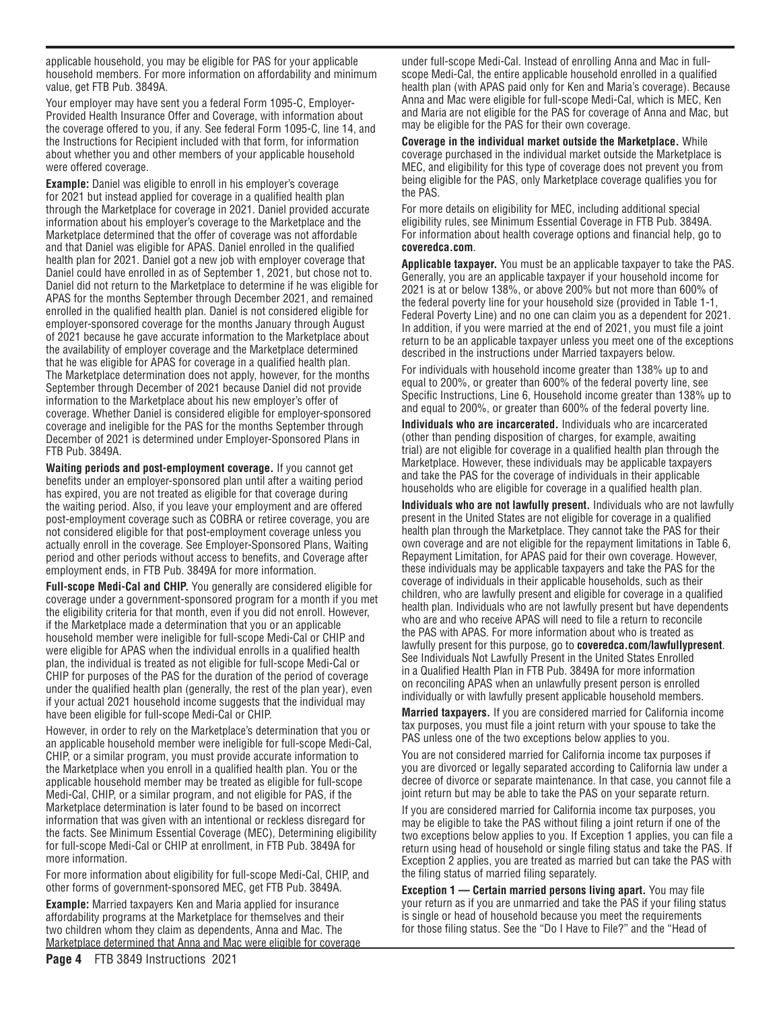applicable household, you may be eligible for PAS for your applicable household members. For more information on affordability and minimum value, get FTB Pub. 3849A.

Your employer may have sent you a federal Form 1095-C, Employer-Provided Health Insurance Offer and Coverage, with information about the coverage offered to you, if any. See federal Form 1095-C, line 14, and the Instructions for Recipient included with that form, for information about whether you and other members of your applicable household were offered coverage.

**Example:** Daniel was eligible to enroll in his employer's coverage for 2021 but instead applied for coverage in a qualified health plan through the Marketplace for coverage in 2021. Daniel provided accurate information about his employer's coverage to the Marketplace and the Marketplace determined that the offer of coverage was not affordable and that Daniel was eligible for APAS. Daniel enrolled in the qualified health plan for 2021. Daniel got a new job with employer coverage that Daniel could have enrolled in as of September 1, 2021, but chose not to. Daniel did not return to the Marketplace to determine if he was eligible for APAS for the months September through December 2021, and remained enrolled in the qualified health plan. Daniel is not considered eligible for employer-sponsored coverage for the months January through August of 2021 because he gave accurate information to the Marketplace about the availability of employer coverage and the Marketplace determined that he was eligible for APAS for coverage in a qualified health plan. The Marketplace determination does not apply, however, for the months September through December of 2021 because Daniel did not provide information to the Marketplace about his new employer's offer of coverage. Whether Daniel is considered eligible for employer-sponsored coverage and ineligible for the PAS for the months September through December of 2021 is determined under Employer-Sponsored Plans in FTB Pub. 3849A.

**Waiting periods and post-employment coverage.** If you cannot get benefits under an employer-sponsored plan until after a waiting period has expired, you are not treated as eligible for that coverage during the waiting period. Also, if you leave your employment and are offered post-employment coverage such as COBRA or retiree coverage, you are not considered eligible for that post-employment coverage unless you actually enroll in the coverage. See Employer-Sponsored Plans, Waiting period and other periods without access to benefits, and Coverage after employment ends, in FTB Pub. 3849A for more information.

**Full-scope Medi-Cal and CHIP.** You generally are considered eligible for coverage under a government-sponsored program for a month if you met the eligibility criteria for that month, even if you did not enroll. However, if the Marketplace made a determination that you or an applicable household member were ineligible for full-scope Medi-Cal or CHIP and were eligible for APAS when the individual enrolls in a qualified health plan, the individual is treated as not eligible for full-scope Medi-Cal or CHIP for purposes of the PAS for the duration of the period of coverage under the qualified health plan (generally, the rest of the plan year), even if your actual 2021 household income suggests that the individual may have been eligible for full-scope Medi-Cal or CHIP.

However, in order to rely on the Marketplace's determination that you or an applicable household member were ineligible for full-scope Medi-Cal, CHIP, or a similar program, you must provide accurate information to the Marketplace when you enroll in a qualified health plan. You or the applicable household member may be treated as eligible for full-scope Medi-Cal, CHIP, or a similar program, and not eligible for PAS, if the Marketplace determination is later found to be based on incorrect information that was given with an intentional or reckless disregard for the facts. See Minimum Essential Coverage (MEC), Determining eligibility for full-scope Medi-Cal or CHIP at enrollment, in FTB Pub. 3849A for more information.

For more information about eligibility for full-scope Medi-Cal, CHIP, and other forms of government-sponsored MEC, get FTB Pub. 3849A.

**Example:** Married taxpayers Ken and Maria applied for insurance affordability programs at the Marketplace for themselves and their two children whom they claim as dependents, Anna and Mac. The Marketplace determined that Anna and Mac were eligible for coverage under full-scope Medi-Cal. Instead of enrolling Anna and Mac in fullscope Medi-Cal, the entire applicable household enrolled in a qualified health plan (with APAS paid only for Ken and Maria's coverage). Because Anna and Mac were eligible for full-scope Medi-Cal, which is MEC, Ken and Maria are not eligible for the PAS for coverage of Anna and Mac, but may be eligible for the PAS for their own coverage.

**Coverage in the individual market outside the Marketplace.** While coverage purchased in the individual market outside the Marketplace is MEC, and eligibility for this type of coverage does not prevent you from being eligible for the PAS, only Marketplace coverage qualifies you for the PAS.

For more details on eligibility for MEC, including additional special eligibility rules, see Minimum Essential Coverage in FTB Pub. 3849A. For information about health coverage options and financial help, go to **coveredca.com**.

**Applicable taxpayer.** You must be an applicable taxpayer to take the PAS. Generally, you are an applicable taxpayer if your household income for 2021 is at or below 138%, or above 200% but not more than 600% of the federal poverty line for your household size (provided in Table 1-1, Federal Poverty Line) and no one can claim you as a dependent for 2021. In addition, if you were married at the end of 2021, you must file a joint return to be an applicable taxpayer unless you meet one of the exceptions described in the instructions under Married taxpayers below.

For individuals with household income greater than 138% up to and equal to 200%, or greater than 600% of the federal poverty line, see Specific Instructions, Line 6, Household income greater than 138% up to and equal to 200%, or greater than 600% of the federal poverty line.

**Individuals who are incarcerated.** Individuals who are incarcerated (other than pending disposition of charges, for example, awaiting trial) are not eligible for coverage in a qualified health plan through the Marketplace. However, these individuals may be applicable taxpayers and take the PAS for the coverage of individuals in their applicable households who are eligible for coverage in a qualified health plan.

**Individuals who are not lawfully present.** Individuals who are not lawfully present in the United States are not eligible for coverage in a qualified health plan through the Marketplace. They cannot take the PAS for their own coverage and are not eligible for the repayment limitations in Table 6, Repayment Limitation, for APAS paid for their own coverage. However, these individuals may be applicable taxpayers and take the PAS for the coverage of individuals in their applicable households, such as their children, who are lawfully present and eligible for coverage in a qualified health plan. Individuals who are not lawfully present but have dependents who are and who receive APAS will need to file a return to reconcile the PAS with APAS. For more information about who is treated as lawfully present for this purpose, go to **coveredca.com/lawfullypresent**. See Individuals Not Lawfully Present in the United States Enrolled in a Qualified Health Plan in FTB Pub. 3849A for more information on reconciling APAS when an unlawfully present person is enrolled individually or with lawfully present applicable household members.

**Married taxpayers.** If you are considered married for California income tax purposes, you must file a joint return with your spouse to take the PAS unless one of the two exceptions below applies to you.

You are not considered married for California income tax purposes if you are divorced or legally separated according to California law under a decree of divorce or separate maintenance. In that case, you cannot file a joint return but may be able to take the PAS on your separate return.

If you are considered married for California income tax purposes, you may be eligible to take the PAS without filing a joint return if one of the two exceptions below applies to you. If Exception 1 applies, you can file a return using head of household or single filing status and take the PAS. If Exception 2 applies, you are treated as married but can take the PAS with the filing status of married filing separately.

**Exception 1 — Certain married persons living apart.** You may file your return as if you are unmarried and take the PAS if your filing status is single or head of household because you meet the requirements for those filing status. See the "Do I Have to File?" and the "Head of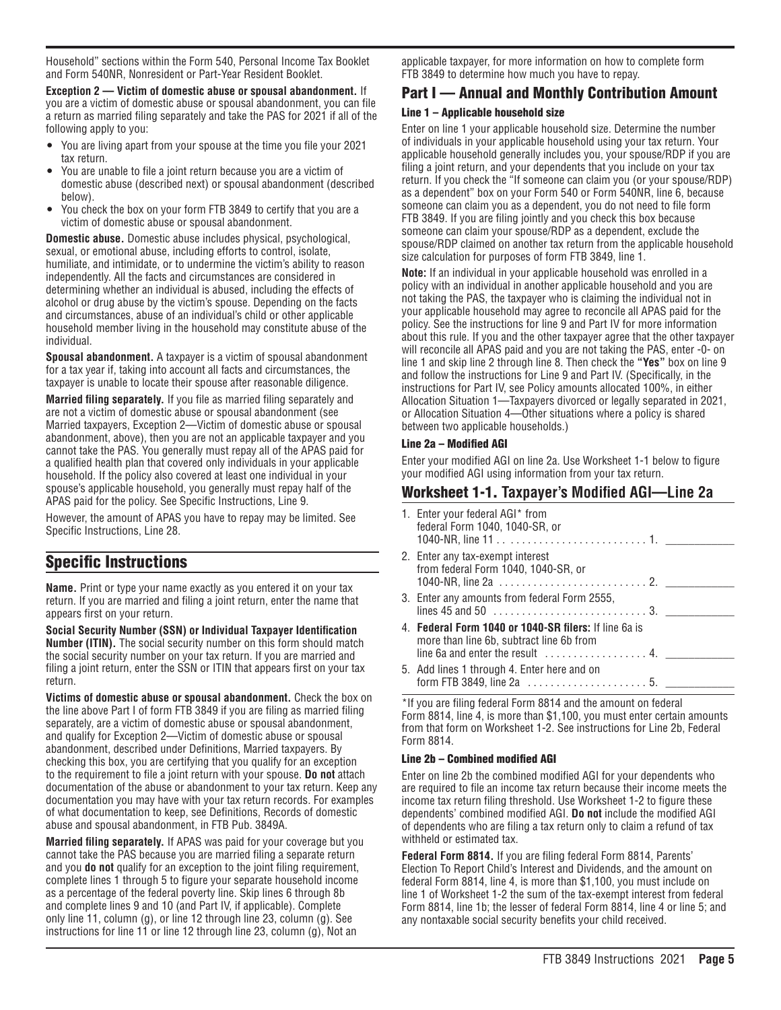Household" sections within the Form 540, Personal Income Tax Booklet and Form 540NR, Nonresident or Part-Year Resident Booklet.

**Exception 2 — Victim of domestic abuse or spousal abandonment.** If you are a victim of domestic abuse or spousal abandonment, you can file a return as married filing separately and take the PAS for 2021 if all of the following apply to you:

- You are living apart from your spouse at the time you file your 2021 tax return.
- You are unable to file a joint return because you are a victim of domestic abuse (described next) or spousal abandonment (described below).
- You check the box on your form FTB 3849 to certify that you are a victim of domestic abuse or spousal abandonment.

**Domestic abuse.** Domestic abuse includes physical, psychological, sexual, or emotional abuse, including efforts to control, isolate, humiliate, and intimidate, or to undermine the victim's ability to reason independently. All the facts and circumstances are considered in determining whether an individual is abused, including the effects of alcohol or drug abuse by the victim's spouse. Depending on the facts and circumstances, abuse of an individual's child or other applicable household member living in the household may constitute abuse of the individual.

**Spousal abandonment.** A taxpayer is a victim of spousal abandonment for a tax year if, taking into account all facts and circumstances, the taxpayer is unable to locate their spouse after reasonable diligence.

**Married filing separately.** If you file as married filing separately and are not a victim of domestic abuse or spousal abandonment (see Married taxpayers, Exception 2—Victim of domestic abuse or spousal abandonment, above), then you are not an applicable taxpayer and you cannot take the PAS. You generally must repay all of the APAS paid for a qualified health plan that covered only individuals in your applicable household. If the policy also covered at least one individual in your spouse's applicable household, you generally must repay half of the APAS paid for the policy. See Specific Instructions, Line 9.

However, the amount of APAS you have to repay may be limited. See Specific Instructions, Line 28.

## Specific Instructions

**Name.** Print or type your name exactly as you entered it on your tax return. If you are married and filing a joint return, enter the name that appears first on your return.

**Social Security Number (SSN) or Individual Taxpayer Identification Number (ITIN).** The social security number on this form should match the social security number on your tax return. If you are married and filing a joint return, enter the SSN or ITIN that appears first on your tax return.

**Victims of domestic abuse or spousal abandonment.** Check the box on the line above Part I of form FTB 3849 if you are filing as married filing separately, are a victim of domestic abuse or spousal abandonment, and qualify for Exception 2—Victim of domestic abuse or spousal abandonment, described under Definitions, Married taxpayers. By checking this box, you are certifying that you qualify for an exception to the requirement to file a joint return with your spouse. **Do not** attach documentation of the abuse or abandonment to your tax return. Keep any documentation you may have with your tax return records. For examples of what documentation to keep, see Definitions, Records of domestic abuse and spousal abandonment, in FTB Pub. 3849A.

**Married filing separately.** If APAS was paid for your coverage but you cannot take the PAS because you are married filing a separate return and you **do not** qualify for an exception to the joint filing requirement, complete lines 1 through 5 to figure your separate household income as a percentage of the federal poverty line. Skip lines 6 through 8b and complete lines 9 and 10 (and Part IV, if applicable). Complete only line 11, column (g), or line 12 through line 23, column (g). See instructions for line 11 or line 12 through line 23, column (g), Not an

applicable taxpayer, for more information on how to complete form FTB 3849 to determine how much you have to repay.

### Part I — Annual and Monthly Contribution Amount

### Line 1 – Applicable household size

Enter on line 1 your applicable household size. Determine the number of individuals in your applicable household using your tax return. Your applicable household generally includes you, your spouse/RDP if you are filing a joint return, and your dependents that you include on your tax return. If you check the "If someone can claim you (or your spouse/RDP) as a dependent" box on your Form 540 or Form 540NR, line 6, because someone can claim you as a dependent, you do not need to file form FTB 3849. If you are filing jointly and you check this box because someone can claim your spouse/RDP as a dependent, exclude the spouse/RDP claimed on another tax return from the applicable household size calculation for purposes of form FTB 3849, line 1.

**Note:** If an individual in your applicable household was enrolled in a policy with an individual in another applicable household and you are not taking the PAS, the taxpayer who is claiming the individual not in your applicable household may agree to reconcile all APAS paid for the policy. See the instructions for line 9 and Part IV for more information about this rule. If you and the other taxpayer agree that the other taxpayer will reconcile all APAS paid and you are not taking the PAS, enter -0- on line 1 and skip line 2 through line 8. Then check the **"Yes"** box on line 9 and follow the instructions for Line 9 and Part IV. (Specifically, in the instructions for Part IV, see Policy amounts allocated 100%, in either Allocation Situation 1—Taxpayers divorced or legally separated in 2021, or Allocation Situation 4—Other situations where a policy is shared between two applicable households.)

### Line 2a – Modified AGI

Enter your modified AGI on line 2a. Use Worksheet 1-1 below to figure your modified AGI using information from your tax return.

### Worksheet 1-1. **Taxpayer's Modified AGI—Line 2a**

| 1. Enter your federal AGI* from<br>federal Form 1040, 1040-SR, or                                                                                               |
|-----------------------------------------------------------------------------------------------------------------------------------------------------------------|
| 2. Enter any tax-exempt interest<br>from federal Form 1040, 1040-SR, or                                                                                         |
| 3. Enter any amounts from federal Form 2555,                                                                                                                    |
| 4. Federal Form 1040 or 1040-SR filers: If line 6a is<br>more than line 6b, subtract line 6b from<br>line 6a and enter the result $\dots\dots\dots\dots\dots$ . |
| 5. Add lines 1 through 4. Enter here and on                                                                                                                     |

\*If you are filing federal Form 8814 and the amount on federal Form 8814, line 4, is more than \$1,100, you must enter certain amounts from that form on Worksheet 1-2. See instructions for Line 2b, Federal Form 8814.

### Line 2b – Combined modified AGI

Enter on line 2b the combined modified AGI for your dependents who are required to file an income tax return because their income meets the income tax return filing threshold. Use Worksheet 1-2 to figure these dependents' combined modified AGI. **Do not** include the modified AGI of dependents who are filing a tax return only to claim a refund of tax withheld or estimated tax.

**Federal Form 8814.** If you are filing federal Form 8814, Parents' Election To Report Child's Interest and Dividends, and the amount on federal Form 8814, line 4, is more than \$1,100, you must include on line 1 of Worksheet 1-2 the sum of the tax-exempt interest from federal Form 8814, line 1b; the lesser of federal Form 8814, line 4 or line 5; and any nontaxable social security benefits your child received.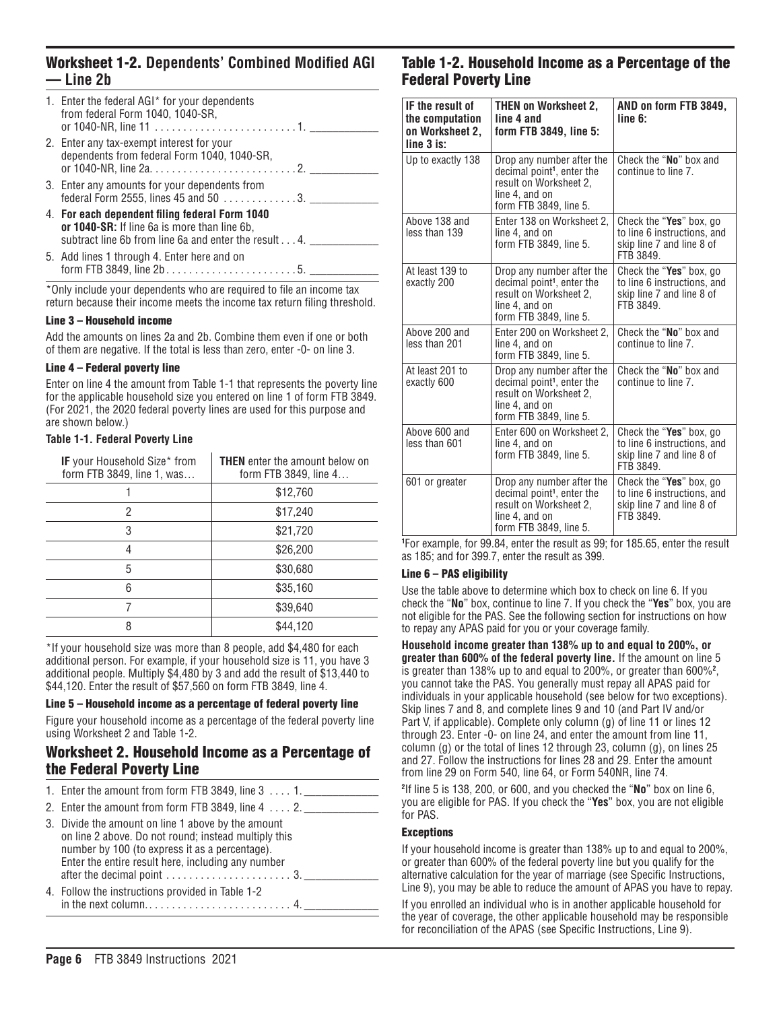### Worksheet 1-2. **Dependents' Combined Modified AGI — Line 2b**

| 1. Enter the federal AGI* for your dependents<br>from federal Form 1040, 1040-SR,                                                                       |
|---------------------------------------------------------------------------------------------------------------------------------------------------------|
| 2. Enter any tax-exempt interest for your<br>dependents from federal Form 1040, 1040-SR,                                                                |
| 3. Enter any amounts for your dependents from<br>federal Form 2555, lines 45 and 50 $\dots$ 3.                                                          |
| 4. For each dependent filing federal Form 1040<br>or 1040-SR: If line 6a is more than line 6b,<br>subtract line 6b from line 6a and enter the result 4. |
| 5. Add lines 1 through 4. Enter here and on                                                                                                             |

\*Only include your dependents who are required to file an income tax return because their income meets the income tax return filing threshold.

#### Line 3 – Household income

Add the amounts on lines 2a and 2b. Combine them even if one or both of them are negative. If the total is less than zero, enter -0- on line 3.

#### Line 4 – Federal poverty line

Enter on line 4 the amount from Table 1-1 that represents the poverty line for the applicable household size you entered on line 1 of form FTB 3849. (For 2021, the 2020 federal poverty lines are used for this purpose and are shown below.)

#### **Table 1-1. Federal Poverty Line**

| <b>IF</b> your Household Size* from<br>form FTB 3849, line 1, was | <b>THEN</b> enter the amount below on<br>form FTB 3849, line 4 |
|-------------------------------------------------------------------|----------------------------------------------------------------|
|                                                                   | \$12,760                                                       |
| 2                                                                 | \$17,240                                                       |
| 3                                                                 | \$21,720                                                       |
| 4                                                                 | \$26,200                                                       |
| 5                                                                 | \$30,680                                                       |
| 6                                                                 | \$35,160                                                       |
|                                                                   | \$39,640                                                       |
| 8                                                                 | \$44,120                                                       |

\*If your household size was more than 8 people, add \$4,480 for each additional person. For example, if your household size is 11, you have 3 additional people. Multiply \$4,480 by 3 and add the result of \$13,440 to \$44,120. Enter the result of \$57,560 on form FTB 3849, line 4.

#### Line 5 – Household income as a percentage of federal poverty line

Figure your household income as a percentage of the federal poverty line using Worksheet 2 and Table 1-2.

### Worksheet 2. Household Income as a Percentage of the Federal Poverty Line

| 1. Enter the amount from form FTB 3849, line $3 \ldots 1$ .                                                                                                                |
|----------------------------------------------------------------------------------------------------------------------------------------------------------------------------|
| 2. Enter the amount from form FTB 3849, line $4 \ldots 2$ .                                                                                                                |
| 3. Divide the amount on line 1 above by the amount<br>the state of the state of the state of the state of the state of the state of the state of the state of the state of |

- on line 2 above. Do not round; instead multiply this number by 100 (to express it as a percentage). Enter the entire result here, including any number after the decimal point  $\dots \dots \dots \dots \dots \dots \dots$  3.
- 4. Follow the instructions provided in Table 1-2 in the next column. ......................... 4. \_\_\_\_\_\_\_\_\_\_\_\_\_

### Table 1-2. Household Income as a Percentage of the Federal Poverty Line

| IF the result of<br>the computation<br>on Worksheet 2,<br>$line 3$ is: | <b>THEN on Worksheet 2,</b><br>line 4 and<br>form FTB 3849, line 5:                                                                       | AND on form FTB 3849,<br>line 6:                                                                 |
|------------------------------------------------------------------------|-------------------------------------------------------------------------------------------------------------------------------------------|--------------------------------------------------------------------------------------------------|
| Up to exactly 138                                                      | Drop any number after the<br>decimal point <sup>1</sup> , enter the<br>result on Worksheet 2,<br>line 4, and on<br>form FTB 3849, line 5. | Check the "No" box and<br>continue to line 7.                                                    |
| Above 138 and<br>less than 139                                         | Enter 138 on Worksheet 2,<br>line 4, and on<br>form FTB 3849, line 5.                                                                     | Check the "Yes" box, go<br>to line 6 instructions, and<br>skip line 7 and line 8 of<br>FTB 3849. |
| At least 139 to<br>exactly 200                                         | Drop any number after the<br>decimal point <sup>1</sup> , enter the<br>result on Worksheet 2,<br>line 4, and on<br>form FTB 3849, line 5. | Check the "Yes" box, go<br>to line 6 instructions, and<br>skip line 7 and line 8 of<br>FTB 3849. |
| Above 200 and<br>less than 201                                         | Enter 200 on Worksheet 2.<br>line 4, and on<br>form FTB 3849. line 5.                                                                     | Check the "No" box and<br>continue to line 7.                                                    |
| At least 201 to<br>exactly 600                                         | Drop any number after the<br>decimal point <sup>1</sup> , enter the<br>result on Worksheet 2,<br>line 4, and on<br>form FTB 3849, line 5. | Check the "No" box and<br>continue to line 7.                                                    |
| Above 600 and<br>less than 601                                         | Enter 600 on Worksheet 2.<br>line 4, and on<br>form FTB 3849, line 5.                                                                     | Check the "Yes" box, go<br>to line 6 instructions, and<br>skip line 7 and line 8 of<br>FTB 3849. |
| 601 or greater                                                         | Drop any number after the<br>decimal point <sup>1</sup> , enter the<br>result on Worksheet 2,<br>line 4, and on<br>form FTB 3849, line 5. | Check the "Yes" box, go<br>to line 6 instructions, and<br>skip line 7 and line 8 of<br>FTB 3849. |

**1** For example, for 99.84, enter the result as 99; for 185.65, enter the result as 185; and for 399.7, enter the result as 399.

#### Line 6 – PAS eligibility

Use the table above to determine which box to check on line 6. If you check the "**No**" box, continue to line 7. If you check the "**Yes**" box, you are not eligible for the PAS. See the following section for instructions on how to repay any APAS paid for you or your coverage family.

**Household income greater than 138% up to and equal to 200%, or greater than 600% of the federal poverty line.** If the amount on line 5 is greater than 138% up to and equal to 200%, or greater than 600%**<sup>2</sup>** , you cannot take the PAS. You generally must repay all APAS paid for individuals in your applicable household (see below for two exceptions). Skip lines 7 and 8, and complete lines 9 and 10 (and Part IV and/or Part V, if applicable). Complete only column (g) of line 11 or lines 12 through 23. Enter -0- on line 24, and enter the amount from line  $11$ , column (g) or the total of lines 12 through 23, column (g), on lines 25 and 27. Follow the instructions for lines 28 and 29. Enter the amount from line 29 on Form 540, line 64, or Form 540NR, line 74.

**2** If line 5 is 138, 200, or 600, and you checked the "**No**" box on line 6, you are eligible for PAS. If you check the "**Yes**" box, you are not eligible for PAS.

#### **Exceptions**

If your household income is greater than 138% up to and equal to 200%, or greater than 600% of the federal poverty line but you qualify for the alternative calculation for the year of marriage (see Specific Instructions, Line 9), you may be able to reduce the amount of APAS you have to repay.

If you enrolled an individual who is in another applicable household for the year of coverage, the other applicable household may be responsible for reconciliation of the APAS (see Specific Instructions, Line 9).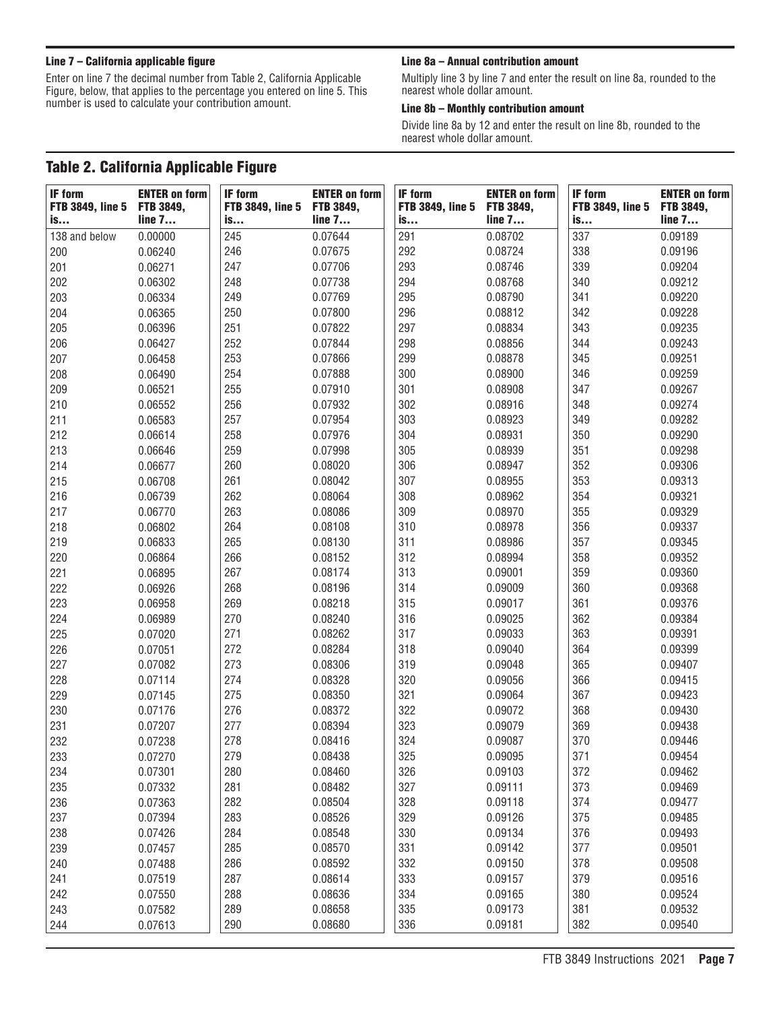Enter on line 7 the decimal number from Table 2, California Applicable Figure, below, that applies to the percentage you entered on line 5. This number is used to calculate your contribution amount.

### Line 7 – California applicable figure Line 20 mm and the Sa – Annual contribution amount

Multiply line 3 by line 7 and enter the result on line 8a, rounded to the nearest whole dollar amount.

#### Line 8b – Monthly contribution amount

Divide line 8a by 12 and enter the result on line 8b, rounded to the nearest whole dollar amount.

### Table 2. California Applicable Figure

| <b>IF form</b><br><b>FTB 3849, line 5</b> | <b>ENTER on form</b><br><b>FTB 3849,</b> | <b>IF form</b><br><b>FTB 3849, line 5</b> | <b>ENTER on form</b><br>FTB 3849, | <b>IF form</b><br><b>FTB 3849, line 5</b> | <b>ENTER on form</b><br>FTB 3849, | <b>IF form</b><br><b>FTB 3849, line 5</b> | <b>ENTER on form</b><br>FTB 3849, |
|-------------------------------------------|------------------------------------------|-------------------------------------------|-----------------------------------|-------------------------------------------|-----------------------------------|-------------------------------------------|-----------------------------------|
| is                                        | line 7                                   | is                                        | line 7                            | is                                        | line 7                            | is                                        | line 7                            |
| 138 and below                             | 0.00000                                  | 245                                       | 0.07644                           | 291                                       | 0.08702                           | 337                                       | 0.09189                           |
| 200                                       | 0.06240                                  | 246                                       | 0.07675                           | 292                                       | 0.08724                           | 338                                       | 0.09196                           |
| 201                                       | 0.06271                                  | 247                                       | 0.07706                           | 293                                       | 0.08746                           | 339                                       | 0.09204                           |
| 202                                       | 0.06302                                  | 248                                       | 0.07738                           | 294                                       | 0.08768                           | 340                                       | 0.09212                           |
| 203                                       | 0.06334                                  | 249                                       | 0.07769                           | 295                                       | 0.08790                           | 341                                       | 0.09220                           |
| 204                                       | 0.06365                                  | 250                                       | 0.07800                           | 296                                       | 0.08812                           | 342                                       | 0.09228                           |
| 205                                       | 0.06396                                  | 251                                       | 0.07822                           | 297                                       | 0.08834                           | 343                                       | 0.09235                           |
| 206                                       | 0.06427                                  | 252                                       | 0.07844                           | 298                                       | 0.08856                           | 344                                       | 0.09243                           |
| 207                                       | 0.06458                                  | 253                                       | 0.07866                           | 299                                       | 0.08878                           | 345                                       | 0.09251                           |
| 208                                       | 0.06490                                  | 254                                       | 0.07888                           | 300                                       | 0.08900                           | 346                                       | 0.09259                           |
| 209                                       | 0.06521                                  | 255                                       | 0.07910                           | 301                                       | 0.08908                           | 347                                       | 0.09267                           |
| 210                                       | 0.06552                                  | 256                                       | 0.07932                           | 302                                       | 0.08916                           | 348                                       | 0.09274                           |
| 211                                       | 0.06583                                  | 257                                       | 0.07954                           | 303                                       | 0.08923                           | 349                                       | 0.09282                           |
| 212                                       | 0.06614                                  | 258                                       | 0.07976                           | 304                                       | 0.08931                           | 350                                       | 0.09290                           |
| 213                                       | 0.06646                                  | 259                                       | 0.07998                           | 305                                       | 0.08939                           | 351                                       | 0.09298                           |
| 214                                       | 0.06677                                  | 260                                       | 0.08020                           | 306                                       | 0.08947                           | 352                                       | 0.09306                           |
| 215                                       | 0.06708                                  | 261                                       | 0.08042                           | 307                                       | 0.08955                           | 353                                       | 0.09313                           |
| 216                                       | 0.06739                                  | 262                                       | 0.08064                           | 308                                       | 0.08962                           | 354                                       | 0.09321                           |
| 217                                       | 0.06770                                  | 263                                       | 0.08086                           | 309                                       | 0.08970                           | 355                                       | 0.09329                           |
| 218                                       | 0.06802                                  | 264                                       | 0.08108                           | 310                                       | 0.08978                           | 356                                       | 0.09337                           |
| 219                                       | 0.06833                                  | 265                                       | 0.08130                           | 311                                       | 0.08986                           | 357                                       | 0.09345                           |
| 220                                       | 0.06864                                  | 266                                       | 0.08152                           | 312                                       | 0.08994                           | 358                                       | 0.09352                           |
| 221                                       | 0.06895                                  | 267                                       | 0.08174                           | 313                                       | 0.09001                           | 359                                       | 0.09360                           |
| 222                                       | 0.06926                                  | 268                                       | 0.08196                           | 314                                       | 0.09009                           | 360                                       | 0.09368                           |
| 223                                       | 0.06958                                  | 269                                       | 0.08218                           | 315                                       | 0.09017                           | 361                                       | 0.09376                           |
| 224                                       | 0.06989                                  | 270                                       | 0.08240                           | 316                                       | 0.09025                           | 362                                       | 0.09384                           |
| 225                                       | 0.07020                                  | 271                                       | 0.08262                           | 317                                       | 0.09033                           | 363                                       | 0.09391                           |
| 226                                       | 0.07051                                  | 272                                       | 0.08284                           | 318                                       | 0.09040                           | 364                                       | 0.09399                           |
| 227                                       | 0.07082                                  | 273                                       | 0.08306                           | 319                                       | 0.09048                           | 365                                       | 0.09407                           |
| 228                                       | 0.07114                                  | 274                                       | 0.08328                           | 320                                       | 0.09056                           | 366                                       | 0.09415                           |
| 229                                       | 0.07145                                  | 275                                       | 0.08350                           | 321                                       | 0.09064                           | 367                                       | 0.09423                           |
| 230                                       | 0.07176                                  | 276                                       | 0.08372                           | 322                                       | 0.09072                           | 368                                       | 0.09430                           |
| 231                                       | 0.07207                                  | 277                                       | 0.08394                           | 323                                       | 0.09079                           | 369                                       | 0.09438                           |
| 232                                       | 0.07238                                  | 278                                       | 0.08416                           | 324                                       | 0.09087                           | 370                                       | 0.09446                           |
| 233                                       | 0.07270                                  | 279                                       | 0.08438                           | 325                                       | 0.09095                           | 371                                       | 0.09454                           |
| 234                                       | 0.07301                                  | 280                                       | 0.08460                           | 326                                       | 0.09103                           | 372                                       | 0.09462                           |
| 235                                       | 0.07332                                  | 281                                       | 0.08482                           | 327                                       | 0.09111                           | 373                                       | 0.09469                           |
| 236                                       | 0.07363                                  | 282                                       | 0.08504                           | 328                                       | 0.09118                           | 374                                       | 0.09477                           |
| 237                                       | 0.07394                                  | 283                                       | 0.08526                           | 329                                       | 0.09126                           | 375                                       | 0.09485                           |
| 238                                       | 0.07426                                  | 284                                       | 0.08548                           | 330                                       | 0.09134                           | 376                                       | 0.09493                           |
| 239                                       | 0.07457                                  | 285                                       | 0.08570                           | 331                                       | 0.09142                           | 377                                       | 0.09501                           |
| 240                                       | 0.07488                                  | 286                                       | 0.08592                           | 332                                       | 0.09150                           | 378                                       | 0.09508                           |
| 241                                       | 0.07519                                  | 287                                       | 0.08614                           | 333                                       | 0.09157                           | 379                                       | 0.09516                           |
| 242                                       | 0.07550                                  | 288                                       | 0.08636                           | 334                                       | 0.09165                           | 380                                       | 0.09524                           |
| 243                                       | 0.07582                                  | 289                                       | 0.08658                           | 335                                       | 0.09173                           | 381                                       | 0.09532                           |
| 244                                       | 0.07613                                  | 290                                       | 0.08680                           | 336                                       | 0.09181                           | 382                                       | 0.09540                           |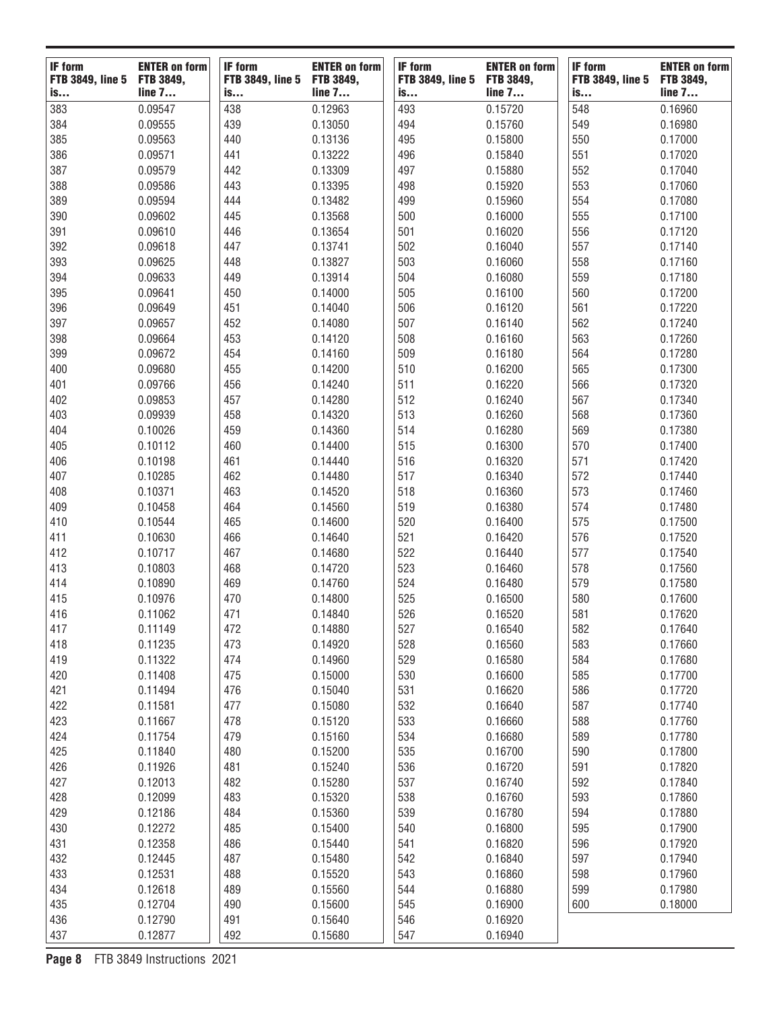| <b>IF form</b>                | <b>ENTER on form</b> | <b>IF form</b>                | <b>ENTER on form</b> | <b>IF form</b>                | <b>ENTER on form</b>       | <b>IF form</b>                | <b>ENTER on form</b> |
|-------------------------------|----------------------|-------------------------------|----------------------|-------------------------------|----------------------------|-------------------------------|----------------------|
| <b>FTB 3849, line 5</b><br>is | FTB 3849,<br>line 7  | <b>FTB 3849, line 5</b><br>is | FTB 3849,<br>line 7  | <b>FTB 3849, line 5</b><br>is | <b>FTB 3849,</b><br>line 7 | <b>FTB 3849, line 5</b><br>is | FTB 3849,<br>line 7  |
| 383                           | 0.09547              | 438                           | 0.12963              | 493                           | 0.15720                    | 548                           | 0.16960              |
| 384                           | 0.09555              | 439                           | 0.13050              | 494                           | 0.15760                    | 549                           | 0.16980              |
| 385                           | 0.09563              | 440                           | 0.13136              | 495                           | 0.15800                    | 550                           | 0.17000              |
| 386                           | 0.09571              | 441                           | 0.13222              | 496                           | 0.15840                    | 551                           | 0.17020              |
| 387                           | 0.09579              | 442                           | 0.13309              | 497                           | 0.15880                    | 552                           | 0.17040              |
| 388                           | 0.09586              | 443                           | 0.13395              | 498                           | 0.15920                    | 553                           | 0.17060              |
| 389                           | 0.09594              | 444                           | 0.13482              | 499                           | 0.15960                    | 554                           | 0.17080              |
| 390                           | 0.09602              | 445                           | 0.13568              | 500                           | 0.16000                    | 555                           | 0.17100              |
| 391                           | 0.09610              | 446                           | 0.13654              | 501                           | 0.16020                    | 556                           | 0.17120              |
| 392                           | 0.09618              | 447                           | 0.13741              | 502                           | 0.16040                    | 557                           | 0.17140              |
| 393                           | 0.09625              | 448                           | 0.13827              | 503                           | 0.16060                    | 558                           | 0.17160              |
| 394                           | 0.09633              | 449                           | 0.13914              | 504                           | 0.16080                    | 559                           | 0.17180              |
| 395                           | 0.09641              | 450                           | 0.14000              | 505                           | 0.16100                    | 560                           | 0.17200              |
| 396                           | 0.09649              | 451                           | 0.14040              | 506                           | 0.16120                    | 561                           | 0.17220              |
| 397                           | 0.09657              | 452                           | 0.14080              | 507                           | 0.16140                    | 562                           | 0.17240              |
| 398                           | 0.09664              | 453                           | 0.14120              | 508                           | 0.16160                    | 563                           | 0.17260              |
| 399                           |                      |                               |                      |                               |                            |                               |                      |
|                               | 0.09672              | 454                           | 0.14160              | 509                           | 0.16180                    | 564                           | 0.17280              |
| 400                           | 0.09680              | 455                           | 0.14200              | 510                           | 0.16200                    | 565                           | 0.17300              |
| 401                           | 0.09766              | 456                           | 0.14240              | 511                           | 0.16220                    | 566                           | 0.17320              |
| 402                           | 0.09853              | 457                           | 0.14280              | 512                           | 0.16240                    | 567                           | 0.17340              |
| 403                           | 0.09939              | 458                           | 0.14320              | 513                           | 0.16260                    | 568                           | 0.17360              |
| 404                           | 0.10026              | 459                           | 0.14360              | 514                           | 0.16280                    | 569                           | 0.17380              |
| 405                           | 0.10112              | 460                           | 0.14400              | 515                           | 0.16300                    | 570                           | 0.17400              |
| 406                           | 0.10198              | 461                           | 0.14440              | 516                           | 0.16320                    | 571                           | 0.17420              |
| 407                           | 0.10285              | 462                           | 0.14480              | 517                           | 0.16340                    | 572                           | 0.17440              |
| 408                           | 0.10371              | 463                           | 0.14520              | 518                           | 0.16360                    | 573                           | 0.17460              |
| 409                           | 0.10458              | 464                           | 0.14560              | 519                           | 0.16380                    | 574                           | 0.17480              |
| 410                           | 0.10544              | 465                           | 0.14600              | 520                           | 0.16400                    | 575                           | 0.17500              |
| 411                           | 0.10630              | 466                           | 0.14640              | 521                           | 0.16420                    | 576                           | 0.17520              |
| 412                           | 0.10717              | 467                           | 0.14680              | 522                           | 0.16440                    | 577                           | 0.17540              |
| 413                           | 0.10803              | 468                           | 0.14720              | 523                           | 0.16460                    | 578                           | 0.17560              |
| 414                           | 0.10890              | 469                           | 0.14760              | 524                           | 0.16480                    | 579                           | 0.17580              |
| 415                           | 0.10976              | 470                           | 0.14800              | 525                           | 0.16500                    | 580                           | 0.17600              |
| 416                           | 0.11062              | 471                           | 0.14840              | 526                           | 0.16520                    | 581                           | 0.17620              |
| 417                           | 0.11149              | 472                           | 0.14880              | 527                           | 0.16540                    | 582                           | 0.17640              |
| 418                           | 0.11235              | 473                           | 0.14920              | 528                           | 0.16560                    | 583                           | 0.17660              |
| 419                           | 0.11322              | 474                           | 0.14960              | 529                           | 0.16580                    | 584                           | 0.17680              |
| 420                           | 0.11408              | 475                           | 0.15000              | 530                           | 0.16600                    | 585                           | 0.17700              |
| 421                           | 0.11494              | 476                           | 0.15040              | 531                           | 0.16620                    | 586                           | 0.17720              |
| 422                           | 0.11581              | 477                           | 0.15080              | 532                           | 0.16640                    | 587                           | 0.17740              |
| 423                           | 0.11667              | 478                           | 0.15120              | 533                           | 0.16660                    | 588                           | 0.17760              |
| 424                           | 0.11754              | 479                           | 0.15160              | 534                           | 0.16680                    | 589                           | 0.17780              |
| 425                           | 0.11840              | 480                           | 0.15200              | 535                           | 0.16700                    | 590                           | 0.17800              |
| 426                           | 0.11926              | 481                           | 0.15240              | 536                           | 0.16720                    | 591                           | 0.17820              |
| 427                           | 0.12013              | 482                           | 0.15280              | 537                           | 0.16740                    | 592                           | 0.17840              |
| 428                           | 0.12099              | 483                           | 0.15320              | 538                           | 0.16760                    | 593                           | 0.17860              |
| 429                           | 0.12186              | 484                           | 0.15360              | 539                           | 0.16780                    | 594                           | 0.17880              |
| 430                           | 0.12272              | 485                           | 0.15400              | 540                           | 0.16800                    | 595                           | 0.17900              |
| 431                           | 0.12358              | 486                           | 0.15440              | 541                           | 0.16820                    | 596                           | 0.17920              |
| 432                           | 0.12445              | 487                           | 0.15480              | 542                           | 0.16840                    | 597                           | 0.17940              |
| 433                           | 0.12531              | 488                           | 0.15520              | 543                           | 0.16860                    | 598                           | 0.17960              |
| 434                           | 0.12618              | 489                           | 0.15560              | 544                           | 0.16880                    | 599                           | 0.17980              |
| 435                           | 0.12704              | 490                           | 0.15600              | 545                           | 0.16900                    | 600                           | 0.18000              |
| 436                           | 0.12790              | 491                           | 0.15640              | 546                           | 0.16920                    |                               |                      |
| 437                           | 0.12877              | 492                           | 0.15680              | 547                           | 0.16940                    |                               |                      |
|                               |                      |                               |                      |                               |                            |                               |                      |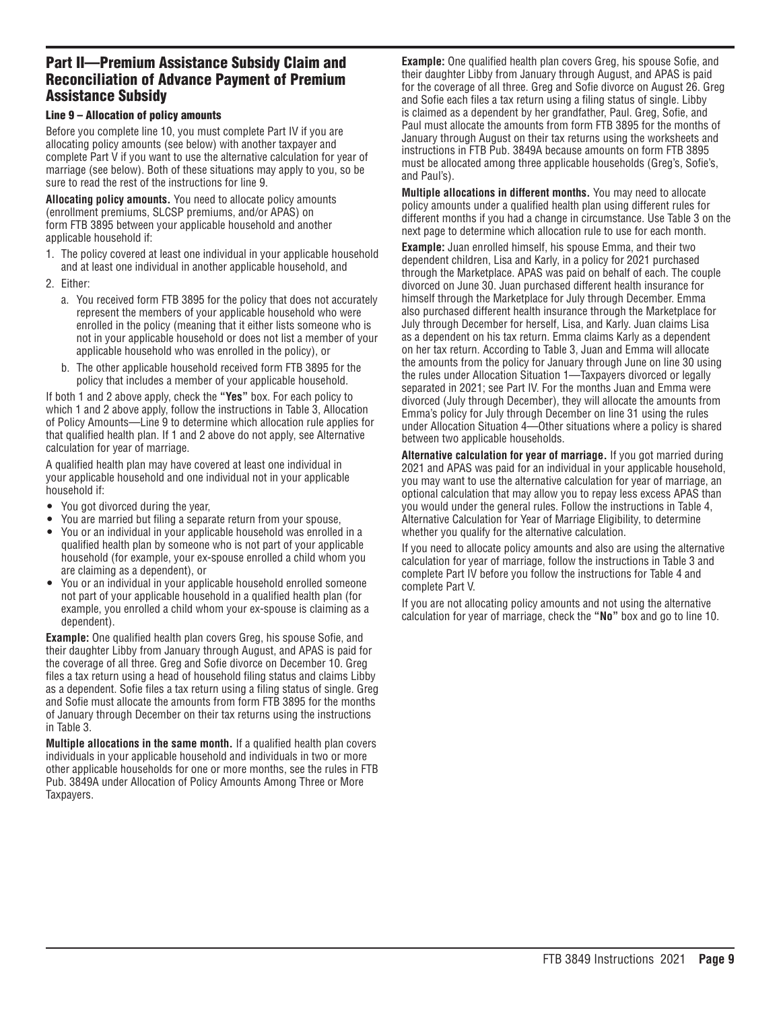### Part II—Premium Assistance Subsidy Claim and Reconciliation of Advance Payment of Premium Assistance Subsidy

#### Line 9 – Allocation of policy amounts

Before you complete line 10, you must complete Part IV if you are allocating policy amounts (see below) with another taxpayer and complete Part V if you want to use the alternative calculation for year of marriage (see below). Both of these situations may apply to you, so be sure to read the rest of the instructions for line 9.

**Allocating policy amounts.** You need to allocate policy amounts (enrollment premiums, SLCSP premiums, and/or APAS) on form FTB 3895 between your applicable household and another applicable household if:

- 1. The policy covered at least one individual in your applicable household and at least one individual in another applicable household, and
- 2. Either:
	- a. You received form FTB 3895 for the policy that does not accurately represent the members of your applicable household who were enrolled in the policy (meaning that it either lists someone who is not in your applicable household or does not list a member of your applicable household who was enrolled in the policy), or
	- b. The other applicable household received form FTB 3895 for the policy that includes a member of your applicable household.

If both 1 and 2 above apply, check the **"Yes"** box. For each policy to which 1 and 2 above apply, follow the instructions in Table 3, Allocation of Policy Amounts—Line 9 to determine which allocation rule applies for that qualified health plan. If 1 and 2 above do not apply, see Alternative calculation for year of marriage.

A qualified health plan may have covered at least one individual in your applicable household and one individual not in your applicable household if:

- You got divorced during the year,
- You are married but filing a separate return from your spouse,
- You or an individual in your applicable household was enrolled in a qualified health plan by someone who is not part of your applicable household (for example, your ex-spouse enrolled a child whom you are claiming as a dependent), or
- You or an individual in your applicable household enrolled someone not part of your applicable household in a qualified health plan (for example, you enrolled a child whom your ex-spouse is claiming as a dependent).

**Example:** One qualified health plan covers Greg, his spouse Sofie, and their daughter Libby from January through August, and APAS is paid for the coverage of all three. Greg and Sofie divorce on December 10. Greg files a tax return using a head of household filing status and claims Libby as a dependent. Sofie files a tax return using a filing status of single. Greg and Sofie must allocate the amounts from form FTB 3895 for the months of January through December on their tax returns using the instructions in Table 3.

**Multiple allocations in the same month.** If a qualified health plan covers individuals in your applicable household and individuals in two or more other applicable households for one or more months, see the rules in FTB Pub. 3849A under Allocation of Policy Amounts Among Three or More Taxpayers.

**Example:** One qualified health plan covers Greg, his spouse Sofie, and their daughter Libby from January through August, and APAS is paid for the coverage of all three. Greg and Sofie divorce on August 26. Greg and Sofie each files a tax return using a filing status of single. Libby is claimed as a dependent by her grandfather, Paul. Greg, Sofie, and Paul must allocate the amounts from form FTB 3895 for the months of January through August on their tax returns using the worksheets and instructions in FTB Pub. 3849A because amounts on form FTB 3895 must be allocated among three applicable households (Greg's, Sofie's, and Paul's).

**Multiple allocations in different months.** You may need to allocate policy amounts under a qualified health plan using different rules for different months if you had a change in circumstance. Use Table 3 on the next page to determine which allocation rule to use for each month.

**Example:** Juan enrolled himself, his spouse Emma, and their two dependent children, Lisa and Karly, in a policy for 2021 purchased through the Marketplace. APAS was paid on behalf of each. The couple divorced on June 30. Juan purchased different health insurance for himself through the Marketplace for July through December. Emma also purchased different health insurance through the Marketplace for July through December for herself, Lisa, and Karly. Juan claims Lisa as a dependent on his tax return. Emma claims Karly as a dependent on her tax return. According to Table 3, Juan and Emma will allocate the amounts from the policy for January through June on line 30 using the rules under Allocation Situation 1—Taxpayers divorced or legally separated in 2021; see Part IV. For the months Juan and Emma were divorced (July through December), they will allocate the amounts from Emma's policy for July through December on line 31 using the rules under Allocation Situation 4—Other situations where a policy is shared between two applicable households.

**Alternative calculation for year of marriage.** If you got married during 2021 and APAS was paid for an individual in your applicable household, you may want to use the alternative calculation for year of marriage, an optional calculation that may allow you to repay less excess APAS than you would under the general rules. Follow the instructions in Table 4, Alternative Calculation for Year of Marriage Eligibility, to determine whether you qualify for the alternative calculation.

If you need to allocate policy amounts and also are using the alternative calculation for year of marriage, follow the instructions in Table 3 and complete Part IV before you follow the instructions for Table 4 and complete Part V.

If you are not allocating policy amounts and not using the alternative calculation for year of marriage, check the **"No"** box and go to line 10.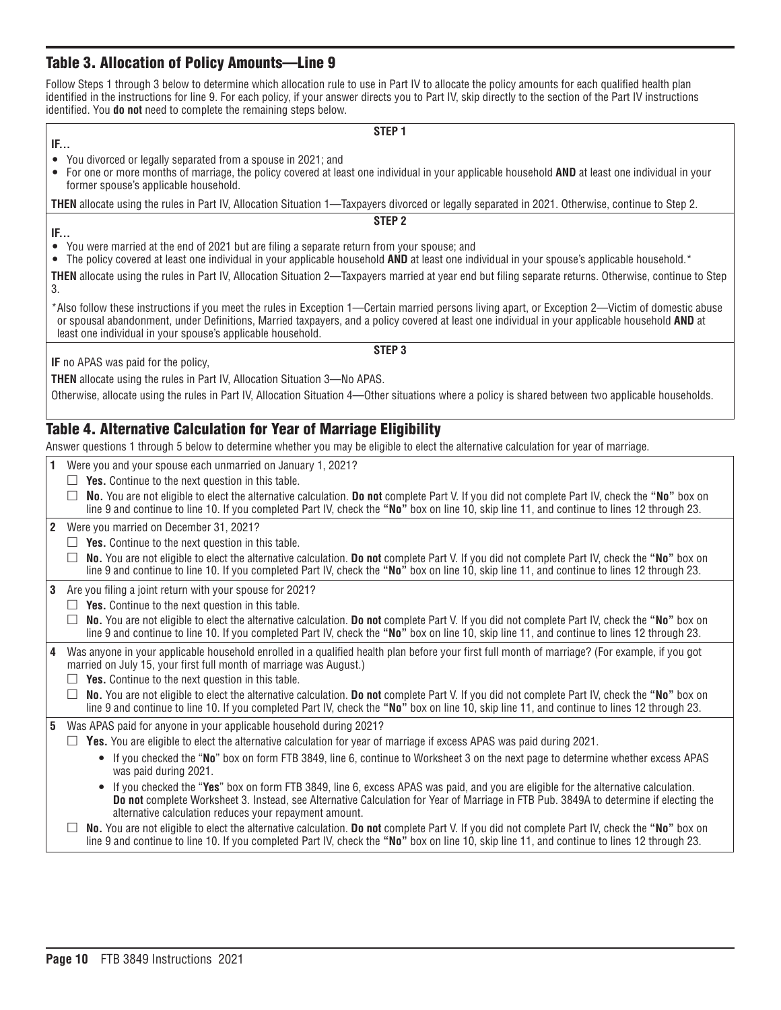### Table 3. Allocation of Policy Amounts—Line 9

Follow Steps 1 through 3 below to determine which allocation rule to use in Part IV to allocate the policy amounts for each qualified health plan identified in the instructions for line 9. For each policy, if your answer directs you to Part IV, skip directly to the section of the Part IV instructions identified. You **do not** need to complete the remaining steps below.

| $\cdots$ |  |
|----------|--|

#### **STEP 1**

- You divorced or legally separated from a spouse in 2021; and
- For one or more months of marriage, the policy covered at least one individual in your applicable household **AND** at least one individual in your former spouse's applicable household.

**THEN** allocate using the rules in Part IV, Allocation Situation 1—Taxpayers divorced or legally separated in 2021. Otherwise, continue to Step 2.

- **IF...**
- You were married at the end of 2021 but are filing a separate return from your spouse; and
- The policy covered at least one individual in your applicable household **AND** at least one individual in your spouse's applicable household.\*

**THEN** allocate using the rules in Part IV, Allocation Situation 2—Taxpayers married at year end but filing separate returns. Otherwise, continue to Step 3.

**STEP 2** 

\*Also follow these instructions if you meet the rules in Exception 1—Certain married persons living apart, or Exception 2—Victim of domestic abuse or spousal abandonment, under Definitions, Married taxpayers, and a policy covered at least one individual in your applicable household **AND** at least one individual in your spouse's applicable household.

**IF** no APAS was paid for the policy,

**THEN** allocate using the rules in Part IV, Allocation Situation 3—No APAS.

Otherwise, allocate using the rules in Part IV, Allocation Situation 4—Other situations where a policy is shared between two applicable households.

### Table 4. Alternative Calculation for Year of Marriage Eligibility

Answer questions 1 through 5 below to determine whether you may be eligible to elect the alternative calculation for year of marriage.

|  | 1 Were you and your spouse each unmarried on January 1, 2021? |  |
|--|---------------------------------------------------------------|--|
|  |                                                               |  |

- $\Box$  **Yes.** Continue to the next question in this table.
- □ **No.** You are not eligible to elect the alternative calculation. **Do not** complete Part V. If you did not complete Part IV, check the **"No"** box on line 9 and continue to line 10. If you completed Part IV, check the **"No"** box on line 10, skip line 11, and continue to lines 12 through 23.
- **2** Were you married on December 31, 2021?
- $\Box$  **Yes.** Continue to the next question in this table.
	- □ **No.** You are not eligible to elect the alternative calculation. **Do not** complete Part V. If you did not complete Part IV, check the **"No"** box on line 9 and continue to line 10. If you completed Part IV, check the **"No"** box on line 10, skip line 11, and continue to lines 12 through 23.

**3** Are you filing a joint return with your spouse for 2021?

- $\Box$  **Yes.** Continue to the next question in this table.
- □ **No.** You are not eligible to elect the alternative calculation. **Do not** complete Part V. If you did not complete Part IV, check the **"No"** box on line 9 and continue to line 10. If you completed Part IV, check the **"No"** box on line 10, skip line 11, and continue to lines 12 through 23.
- **4** Was anyone in your applicable household enrolled in a qualified health plan before your first full month of marriage? (For example, if you got married on July 15, your first full month of marriage was August.)
	- $\Box$  **Yes.** Continue to the next question in this table.
	- □ **No.** You are not eligible to elect the alternative calculation. **Do not** complete Part V. If you did not complete Part IV, check the **"No"** box on line 9 and continue to line 10. If you completed Part IV, check the **"No"** box on line 10, skip line 11, and continue to lines 12 through 23.

**5** Was APAS paid for anyone in your applicable household during 2021?

- $\Box$  **Yes.** You are eligible to elect the alternative calculation for year of marriage if excess APAS was paid during 2021.
	- If you checked the "**No**" box on form FTB 3849, line 6, continue to Worksheet 3 on the next page to determine whether excess APAS was paid during 2021.
	- If you checked the "**Yes**" box on form FTB 3849, line 6, excess APAS was paid, and you are eligible for the alternative calculation. **Do not** complete Worksheet 3. Instead, see Alternative Calculation for Year of Marriage in FTB Pub. 3849A to determine if electing the alternative calculation reduces your repayment amount.
- □ **No.** You are not eligible to elect the alternative calculation. **Do not** complete Part V. If you did not complete Part IV, check the **"No"** box on line 9 and continue to line 10. If you completed Part IV, check the **"No"** box on line 10, skip line 11, and continue to lines 12 through 23.

**STEP 3**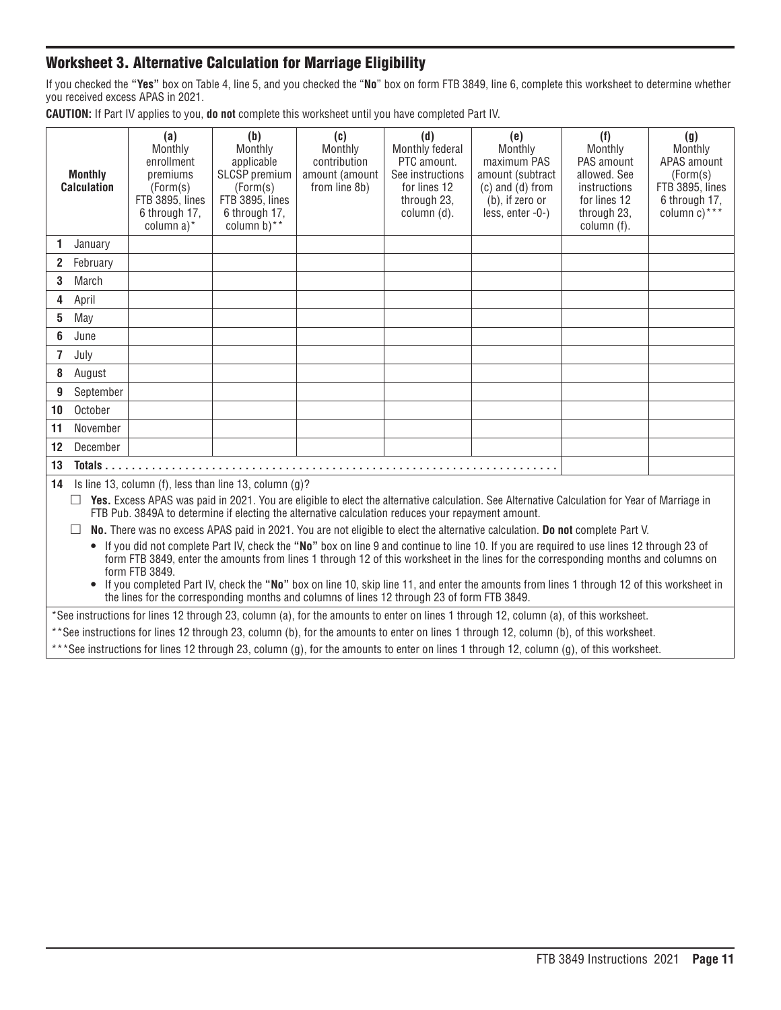### Worksheet 3. Alternative Calculation for Marriage Eligibility

If you checked the **"Yes"** box on Table 4, line 5, and you checked the "**No**" box on form FTB 3849, line 6, complete this worksheet to determine whether you received excess APAS in 2021.

**CAUTION:** If Part IV applies to you, **do not** complete this worksheet until you have completed Part IV.

|                                                                                                                                                                                                                                                                                                                                                                                                                                                                                                                                                 | <b>Monthly</b><br><b>Calculation</b>                                                                                                                                                                                                                     | (a)<br>Monthly<br>enrollment<br>premiums<br>(Form(s)<br>FTB 3895, lines<br>6 through 17,<br>column a)* | (b)<br>Monthly<br>applicable<br>SLCSP premium<br>(Form(s)<br>FTB 3895, lines<br>6 through 17,<br>column $b$ <sup>**</sup> | (c)<br>Monthly<br>contribution<br>amount (amount<br>from line 8b) | (d)<br>Monthly federal<br>PTC amount.<br>See instructions<br>for lines 12<br>through 23,<br>column (d). | (e)<br>Monthly<br>maximum PAS<br>amount (subtract<br>$(c)$ and $(d)$ from<br>$(b)$ , if zero or<br>less, enter -0-)                    | (f)<br>Monthly<br>PAS amount<br>allowed, See<br>instructions<br>for lines 12<br>through 23,<br>column (f). | (g)<br>Monthly<br>APAS amount<br>(Form(s)<br>FTB 3895, lines<br>6 through 17,<br>column $c)$ *** |
|-------------------------------------------------------------------------------------------------------------------------------------------------------------------------------------------------------------------------------------------------------------------------------------------------------------------------------------------------------------------------------------------------------------------------------------------------------------------------------------------------------------------------------------------------|----------------------------------------------------------------------------------------------------------------------------------------------------------------------------------------------------------------------------------------------------------|--------------------------------------------------------------------------------------------------------|---------------------------------------------------------------------------------------------------------------------------|-------------------------------------------------------------------|---------------------------------------------------------------------------------------------------------|----------------------------------------------------------------------------------------------------------------------------------------|------------------------------------------------------------------------------------------------------------|--------------------------------------------------------------------------------------------------|
| 1                                                                                                                                                                                                                                                                                                                                                                                                                                                                                                                                               | January                                                                                                                                                                                                                                                  |                                                                                                        |                                                                                                                           |                                                                   |                                                                                                         |                                                                                                                                        |                                                                                                            |                                                                                                  |
| $\overline{2}$                                                                                                                                                                                                                                                                                                                                                                                                                                                                                                                                  | February                                                                                                                                                                                                                                                 |                                                                                                        |                                                                                                                           |                                                                   |                                                                                                         |                                                                                                                                        |                                                                                                            |                                                                                                  |
| 3                                                                                                                                                                                                                                                                                                                                                                                                                                                                                                                                               | March                                                                                                                                                                                                                                                    |                                                                                                        |                                                                                                                           |                                                                   |                                                                                                         |                                                                                                                                        |                                                                                                            |                                                                                                  |
| 4                                                                                                                                                                                                                                                                                                                                                                                                                                                                                                                                               | April                                                                                                                                                                                                                                                    |                                                                                                        |                                                                                                                           |                                                                   |                                                                                                         |                                                                                                                                        |                                                                                                            |                                                                                                  |
| 5                                                                                                                                                                                                                                                                                                                                                                                                                                                                                                                                               | May                                                                                                                                                                                                                                                      |                                                                                                        |                                                                                                                           |                                                                   |                                                                                                         |                                                                                                                                        |                                                                                                            |                                                                                                  |
| 6                                                                                                                                                                                                                                                                                                                                                                                                                                                                                                                                               | June                                                                                                                                                                                                                                                     |                                                                                                        |                                                                                                                           |                                                                   |                                                                                                         |                                                                                                                                        |                                                                                                            |                                                                                                  |
| $\overline{7}$                                                                                                                                                                                                                                                                                                                                                                                                                                                                                                                                  | July                                                                                                                                                                                                                                                     |                                                                                                        |                                                                                                                           |                                                                   |                                                                                                         |                                                                                                                                        |                                                                                                            |                                                                                                  |
| 8                                                                                                                                                                                                                                                                                                                                                                                                                                                                                                                                               | August                                                                                                                                                                                                                                                   |                                                                                                        |                                                                                                                           |                                                                   |                                                                                                         |                                                                                                                                        |                                                                                                            |                                                                                                  |
| 9                                                                                                                                                                                                                                                                                                                                                                                                                                                                                                                                               | September                                                                                                                                                                                                                                                |                                                                                                        |                                                                                                                           |                                                                   |                                                                                                         |                                                                                                                                        |                                                                                                            |                                                                                                  |
| 10                                                                                                                                                                                                                                                                                                                                                                                                                                                                                                                                              | October                                                                                                                                                                                                                                                  |                                                                                                        |                                                                                                                           |                                                                   |                                                                                                         |                                                                                                                                        |                                                                                                            |                                                                                                  |
| 11                                                                                                                                                                                                                                                                                                                                                                                                                                                                                                                                              | November                                                                                                                                                                                                                                                 |                                                                                                        |                                                                                                                           |                                                                   |                                                                                                         |                                                                                                                                        |                                                                                                            |                                                                                                  |
| 12                                                                                                                                                                                                                                                                                                                                                                                                                                                                                                                                              | December                                                                                                                                                                                                                                                 |                                                                                                        |                                                                                                                           |                                                                   |                                                                                                         |                                                                                                                                        |                                                                                                            |                                                                                                  |
| 13                                                                                                                                                                                                                                                                                                                                                                                                                                                                                                                                              |                                                                                                                                                                                                                                                          |                                                                                                        |                                                                                                                           |                                                                   |                                                                                                         |                                                                                                                                        |                                                                                                            |                                                                                                  |
| 14                                                                                                                                                                                                                                                                                                                                                                                                                                                                                                                                              |                                                                                                                                                                                                                                                          |                                                                                                        | Is line 13, column (f), less than line 13, column (g)?                                                                    |                                                                   |                                                                                                         |                                                                                                                                        |                                                                                                            |                                                                                                  |
|                                                                                                                                                                                                                                                                                                                                                                                                                                                                                                                                                 | Yes. Excess APAS was paid in 2021. You are eligible to elect the alternative calculation. See Alternative Calculation for Year of Marriage in<br>П<br>FTB Pub. 3849A to determine if electing the alternative calculation reduces your repayment amount. |                                                                                                        |                                                                                                                           |                                                                   |                                                                                                         |                                                                                                                                        |                                                                                                            |                                                                                                  |
|                                                                                                                                                                                                                                                                                                                                                                                                                                                                                                                                                 | $\perp$                                                                                                                                                                                                                                                  |                                                                                                        |                                                                                                                           |                                                                   |                                                                                                         | No. There was no excess APAS paid in 2021. You are not eligible to elect the alternative calculation. Do not complete Part V.          |                                                                                                            |                                                                                                  |
| If you did not complete Part IV, check the "No" box on line 9 and continue to line 10. If you are required to use lines 12 through 23 of<br>form FTB 3849, enter the amounts from lines 1 through 12 of this worksheet in the lines for the corresponding months and columns on<br>form FTB 3849.<br>• If you completed Part IV, check the "No" box on line 10, skip line 11, and enter the amounts from lines 1 through 12 of this worksheet in<br>the lines for the corresponding months and columns of lines 12 through 23 of form FTB 3849. |                                                                                                                                                                                                                                                          |                                                                                                        |                                                                                                                           |                                                                   |                                                                                                         |                                                                                                                                        |                                                                                                            |                                                                                                  |
|                                                                                                                                                                                                                                                                                                                                                                                                                                                                                                                                                 |                                                                                                                                                                                                                                                          |                                                                                                        |                                                                                                                           |                                                                   |                                                                                                         | *See instructions for lines 12 through 23, column (a), for the amounts to enter on lines 1 through 12, column (a), of this worksheet.  |                                                                                                            |                                                                                                  |
|                                                                                                                                                                                                                                                                                                                                                                                                                                                                                                                                                 |                                                                                                                                                                                                                                                          |                                                                                                        |                                                                                                                           |                                                                   |                                                                                                         | **See instructions for lines 12 through 23, column (b), for the amounts to enter on lines 1 through 12, column (b), of this worksheet. |                                                                                                            |                                                                                                  |
|                                                                                                                                                                                                                                                                                                                                                                                                                                                                                                                                                 | ***See instructions for lines 12 through 23, column (a) for the amounts to enter on lines 1 through 12, column (a) of this worksheet                                                                                                                     |                                                                                                        |                                                                                                                           |                                                                   |                                                                                                         |                                                                                                                                        |                                                                                                            |                                                                                                  |

See instructions for lines 12 through 23, column (g), for the amounts to enter on lines 1 through 12, column (g), of this worksheet.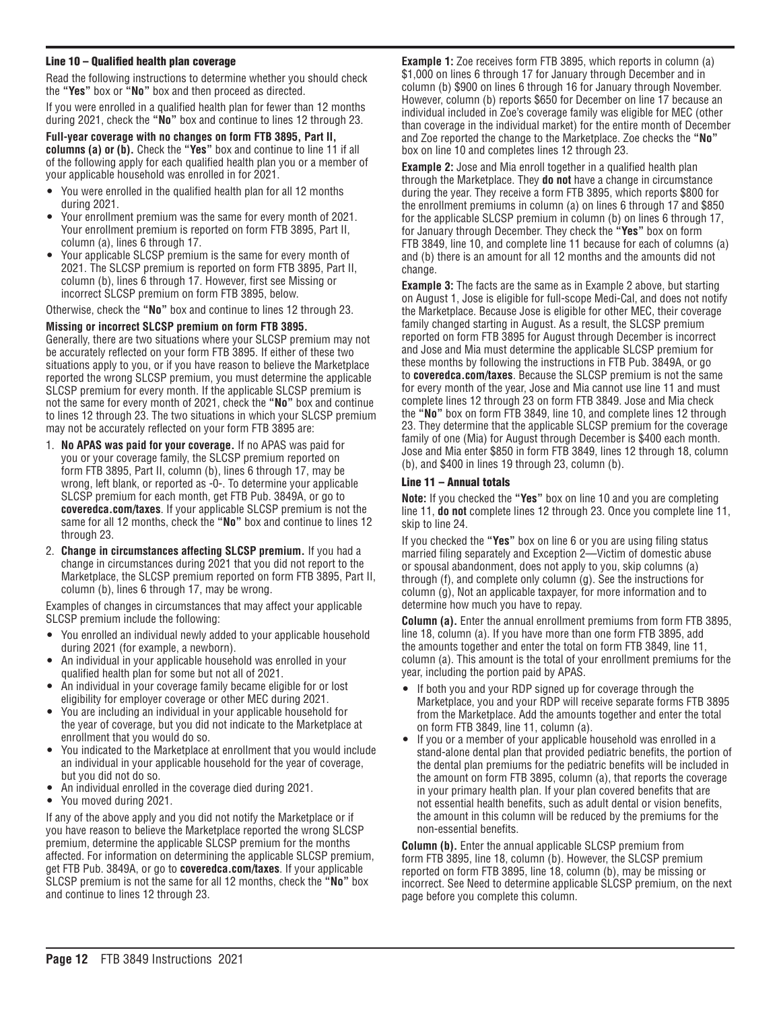#### Line 10 – Qualified health plan coverage

Read the following instructions to determine whether you should check the **"Yes"** box or **"No"** box and then proceed as directed.

If you were enrolled in a qualified health plan for fewer than 12 months during 2021, check the **"No"** box and continue to lines 12 through 23.

**Full-year coverage with no changes on form FTB 3895, Part II, columns (a) or (b).** Check the **"Yes"** box and continue to line 11 if all of the following apply for each qualified health plan you or a member of your applicable household was enrolled in for 2021.

- You were enrolled in the qualified health plan for all 12 months during 2021.
- Your enrollment premium was the same for every month of 2021. Your enrollment premium is reported on form FTB 3895, Part II, column (a), lines 6 through 17.
- Your applicable SLCSP premium is the same for every month of 2021. The SLCSP premium is reported on form FTB 3895, Part II, column (b), lines 6 through 17. However, first see Missing or incorrect SLCSP premium on form FTB 3895, below.

Otherwise, check the **"No"** box and continue to lines 12 through 23.

#### **Missing or incorrect SLCSP premium on form FTB 3895.**

Generally, there are two situations where your SLCSP premium may not be accurately reflected on your form FTB 3895. If either of these two situations apply to you, or if you have reason to believe the Marketplace reported the wrong SLCSP premium, you must determine the applicable SLCSP premium for every month. If the applicable SLCSP premium is not the same for every month of 2021, check the **"No"** box and continue to lines 12 through 23. The two situations in which your SLCSP premium may not be accurately reflected on your form FTB 3895 are:

- 1. **No APAS was paid for your coverage.** If no APAS was paid for you or your coverage family, the SLCSP premium reported on form FTB 3895, Part II, column (b), lines 6 through 17, may be wrong, left blank, or reported as -0-. To determine your applicable SLCSP premium for each month, get FTB Pub. 3849A, or go to **coveredca.com/taxes**. If your applicable SLCSP premium is not the same for all 12 months, check the **"No"** box and continue to lines 12 through 23.
- 2. **Change in circumstances affecting SLCSP premium.** If you had a change in circumstances during 2021 that you did not report to the Marketplace, the SLCSP premium reported on form FTB 3895, Part II, column (b), lines 6 through 17, may be wrong.

Examples of changes in circumstances that may affect your applicable SLCSP premium include the following:

- You enrolled an individual newly added to your applicable household during 2021 (for example, a newborn).
- An individual in your applicable household was enrolled in your qualified health plan for some but not all of 2021.
- An individual in your coverage family became eligible for or lost eligibility for employer coverage or other MEC during 2021.
- You are including an individual in your applicable household for the year of coverage, but you did not indicate to the Marketplace at enrollment that you would do so.
- You indicated to the Marketplace at enrollment that you would include an individual in your applicable household for the year of coverage, but you did not do so.
- An individual enrolled in the coverage died during 2021.
- You moved during 2021.

If any of the above apply and you did not notify the Marketplace or if you have reason to believe the Marketplace reported the wrong SLCSP premium, determine the applicable SLCSP premium for the months affected. For information on determining the applicable SLCSP premium, get FTB Pub. 3849A, or go to **coveredca.com/taxes**. If your applicable SLCSP premium is not the same for all 12 months, check the **"No"** box and continue to lines 12 through 23.

**Example 1:** Zoe receives form FTB 3895, which reports in column (a) \$1,000 on lines 6 through 17 for January through December and in column (b) \$900 on lines 6 through 16 for January through November. However, column (b) reports \$650 for December on line 17 because an individual included in Zoe's coverage family was eligible for MEC (other than coverage in the individual market) for the entire month of December and Zoe reported the change to the Marketplace. Zoe checks the **"No"**  box on line 10 and completes lines 12 through 23.

**Example 2:** Jose and Mia enroll together in a qualified health plan through the Marketplace. They **do not** have a change in circumstance during the year. They receive a form FTB 3895, which reports \$800 for the enrollment premiums in column (a) on lines 6 through 17 and \$850 for the applicable SLCSP premium in column (b) on lines 6 through 17, for January through December. They check the **"Yes"** box on form FTB 3849, line 10, and complete line 11 because for each of columns (a) and (b) there is an amount for all 12 months and the amounts did not change.

**Example 3:** The facts are the same as in Example 2 above, but starting on August 1, Jose is eligible for full-scope Medi-Cal, and does not notify the Marketplace. Because Jose is eligible for other MEC, their coverage family changed starting in August. As a result, the SLCSP premium reported on form FTB 3895 for August through December is incorrect and Jose and Mia must determine the applicable SLCSP premium for these months by following the instructions in FTB Pub. 3849A, or go to **coveredca.com/taxes**. Because the SLCSP premium is not the same for every month of the year, Jose and Mia cannot use line 11 and must complete lines 12 through 23 on form FTB 3849. Jose and Mia check the **"No"** box on form FTB 3849, line 10, and complete lines 12 through 23. They determine that the applicable SLCSP premium for the coverage family of one (Mia) for August through December is \$400 each month. Jose and Mia enter \$850 in form FTB 3849, lines 12 through 18, column (b), and \$400 in lines 19 through 23, column (b).

#### Line 11 – Annual totals

**Note:** If you checked the **"Yes"** box on line 10 and you are completing line 11, **do not** complete lines 12 through 23. Once you complete line 11, skip to line 24.

If you checked the **"Yes"** box on line 6 or you are using filing status married filing separately and Exception 2—Victim of domestic abuse or spousal abandonment, does not apply to you, skip columns (a) through (f), and complete only column (g). See the instructions for column (g), Not an applicable taxpayer, for more information and to determine how much you have to repay.

**Column (a).** Enter the annual enrollment premiums from form FTB 3895, line 18, column (a). If you have more than one form FTB 3895, add the amounts together and enter the total on form FTB 3849, line 11, column (a). This amount is the total of your enrollment premiums for the year, including the portion paid by APAS.

- If both you and your RDP signed up for coverage through the Marketplace, you and your RDP will receive separate forms FTB 3895 from the Marketplace. Add the amounts together and enter the total on form FTB 3849, line 11, column (a).
- If you or a member of your applicable household was enrolled in a stand-alone dental plan that provided pediatric benefits, the portion of the dental plan premiums for the pediatric benefits will be included in the amount on form FTB 3895, column (a), that reports the coverage in your primary health plan. If your plan covered benefits that are not essential health benefits, such as adult dental or vision benefits, the amount in this column will be reduced by the premiums for the non-essential benefits.

**Column (b).** Enter the annual applicable SLCSP premium from form FTB 3895, line 18, column (b). However, the SLCSP premium reported on form FTB 3895, line 18, column (b), may be missing or incorrect. See Need to determine applicable SLCSP premium, on the next page before you complete this column.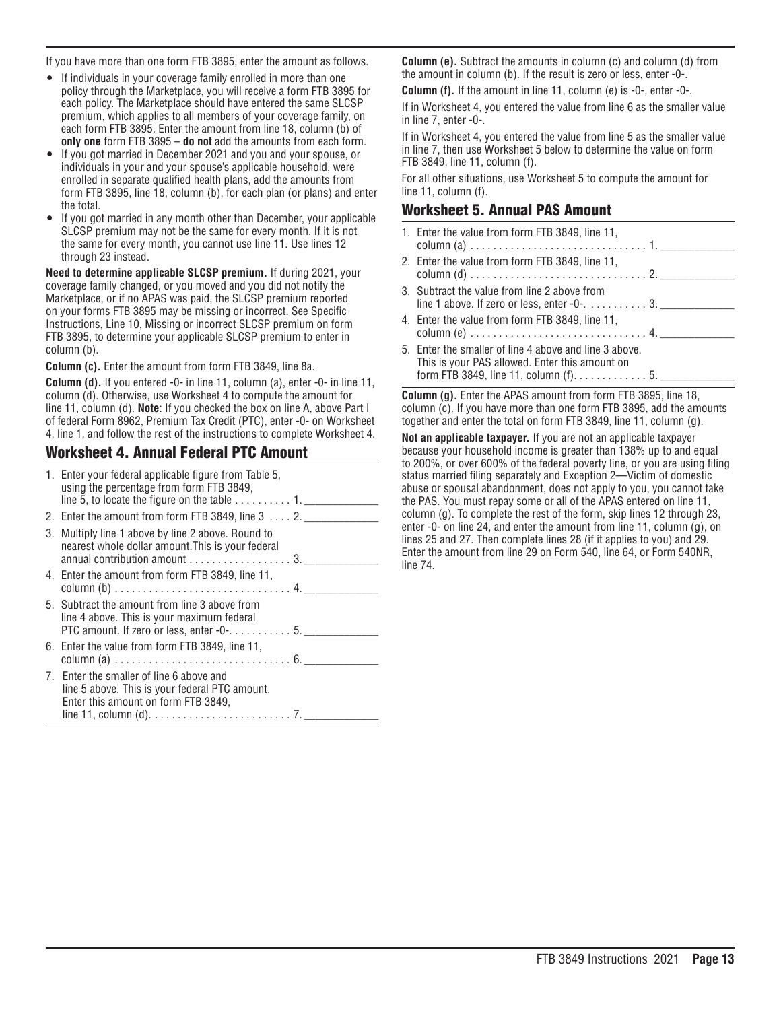If you have more than one form FTB 3895, enter the amount as follows.

- If individuals in your coverage family enrolled in more than one policy through the Marketplace, you will receive a form FTB 3895 for each policy. The Marketplace should have entered the same SLCSP premium, which applies to all members of your coverage family, on each form FTB 3895. Enter the amount from line 18, column (b) of **only one** form FTB 3895 – **do not** add the amounts from each form.
- If you got married in December 2021 and you and your spouse, or individuals in your and your spouse's applicable household, were enrolled in separate qualified health plans, add the amounts from form FTB 3895, line 18, column (b), for each plan (or plans) and enter the total.
- If you got married in any month other than December, your applicable SLCSP premium may not be the same for every month. If it is not the same for every month, you cannot use line 11. Use lines 12 through 23 instead.

**Need to determine applicable SLCSP premium.** If during 2021, your coverage family changed, or you moved and you did not notify the Marketplace, or if no APAS was paid, the SLCSP premium reported on your forms FTB 3895 may be missing or incorrect. See Specific Instructions, Line 10, Missing or incorrect SLCSP premium on form FTB 3895, to determine your applicable SLCSP premium to enter in column (b).

**Column (c).** Enter the amount from form FTB 3849, line 8a.

**Column (d).** If you entered -0- in line 11, column (a), enter -0- in line 11, column (d). Otherwise, use Worksheet 4 to compute the amount for line 11, column (d). **Note**: If you checked the box on line A, above Part I of federal Form 8962, Premium Tax Credit (PTC), enter -0- on Worksheet 4, line 1, and follow the rest of the instructions to complete Worksheet 4.

### Worksheet 4. Annual Federal PTC Amount

| 1. Enter your federal applicable figure from Table 5,<br>using the percentage from form FTB 3849,<br>line 5, to locate the figure on the table $\dots \dots \dots 1$ . |
|------------------------------------------------------------------------------------------------------------------------------------------------------------------------|
| 2. Enter the amount from form FTB 3849, line $3 \ldots 2$ .                                                                                                            |
| 3. Multiply line 1 above by line 2 above. Round to<br>nearest whole dollar amount. This is your federal<br>annual contribution amount 3.                               |
| 4. Enter the amount from form FTB 3849, line 11,                                                                                                                       |
| 5. Subtract the amount from line 3 above from<br>line 4 above. This is your maximum federal<br>PTC amount. If zero or less, enter -0-. 5.                              |
| 6. Enter the value from form FTB 3849, line 11,                                                                                                                        |
| 7. Enter the smaller of line 6 above and<br>line 5 above. This is your federal PTC amount.<br>Enter this amount on form FTB 3849,                                      |

**Column (e).** Subtract the amounts in column (c) and column (d) from the amount in column (b). If the result is zero or less, enter -0-.

**Column (f).** If the amount in line 11, column (e) is -0-, enter -0-.

If in Worksheet 4, you entered the value from line 6 as the smaller value in line  $7$ , enter  $-0$ -.

If in Worksheet 4, you entered the value from line 5 as the smaller value in line 7, then use Worksheet 5 below to determine the value on form FTB 3849, line 11, column (f).

For all other situations, use Worksheet 5 to compute the amount for line 11, column (f).

### Worksheet 5. Annual PAS Amount

1. Enter the value from form FTB 3849, line 11, column (a) ............................... 1. \_\_\_\_\_\_\_\_\_\_\_\_\_ 2. Enter the value from form FTB 3849, line 11, column (d) ............................... 2. \_\_\_\_\_\_\_\_\_\_\_\_\_ 3. Subtract the value from line 2 above from line 1 above. If zero or less, enter -0- $\dots\dots\dots$ . 3. 4. Enter the value from form FTB 3849, line 11, column (e) ............................... 4. \_\_\_\_\_\_\_\_\_\_\_\_\_ 5. Enter the smaller of line 4 above and line 3 above. This is your PAS allowed. Enter this amount on form FTB 3849, line 11, column (f). . . . . . . . . . . . 5. \_

**Column (g).** Enter the APAS amount from form FTB 3895, line 18, column (c). If you have more than one form FTB 3895, add the amounts together and enter the total on form FTB 3849, line 11, column (g).

**Not an applicable taxpayer.** If you are not an applicable taxpayer because your household income is greater than 138% up to and equal to 200%, or over 600% of the federal poverty line, or you are using filing status married filing separately and Exception 2—Victim of domestic abuse or spousal abandonment, does not apply to you, you cannot take the PAS. You must repay some or all of the APAS entered on line 11, column (g). To complete the rest of the form, skip lines 12 through 23, enter -0- on line 24, and enter the amount from line 11, column (g), on lines 25 and 27. Then complete lines 28 (if it applies to you) and 29. Enter the amount from line 29 on Form 540, line 64, or Form 540NR, line 74.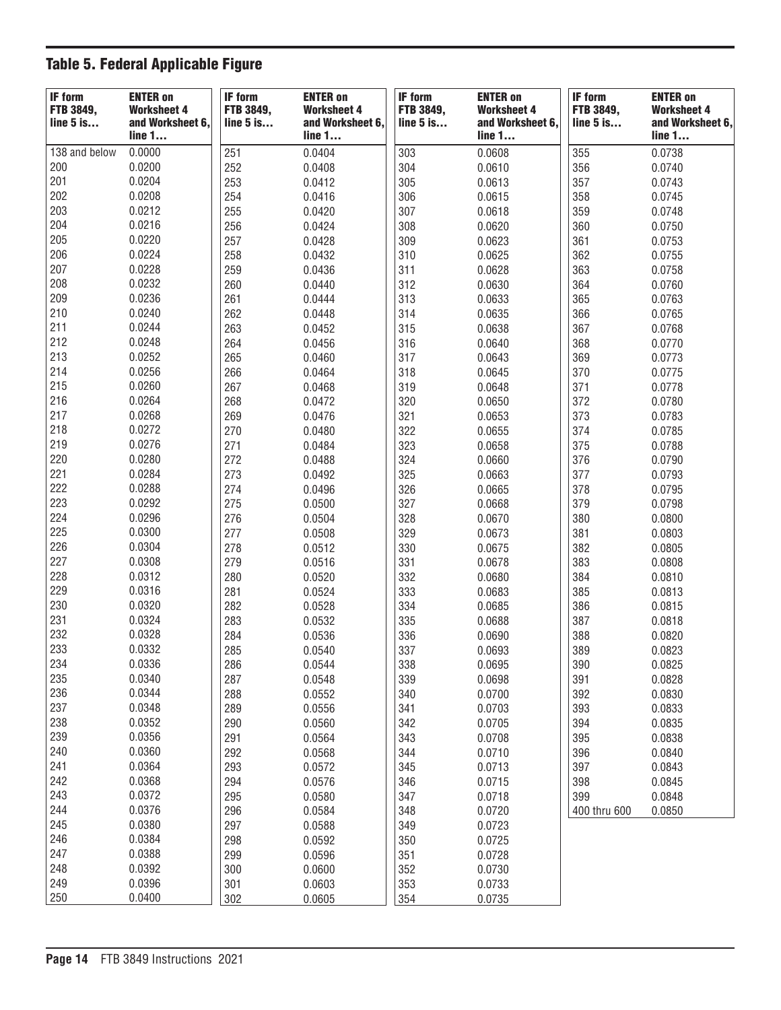## Table 5. Federal Applicable Figure

| 0.0000<br>138 and below<br>251<br>0.0404<br>303<br>355<br>0.0608<br>0.0738<br>0.0200<br>200<br>252<br>304<br>0.0610<br>356<br>0.0408<br>0.0740<br>201<br>0.0204<br>305<br>357<br>253<br>0.0412<br>0.0613<br>0.0743<br>202<br>0.0208<br>306<br>254<br>0.0416<br>358<br>0.0615<br>0.0745<br>203<br>0.0212<br>307<br>255<br>359<br>0.0420<br>0.0618<br>0.0748<br>204<br>0.0216<br>308<br>256<br>360<br>0.0424<br>0.0620<br>0.0750<br>205<br>0.0220<br>257<br>309<br>361<br>0.0428<br>0.0623<br>0.0753<br>206<br>0.0224<br>310<br>258<br>362<br>0.0432<br>0.0625<br>0.0755<br>207<br>0.0228<br>259<br>311<br>0.0436<br>0.0628<br>363<br>0.0758<br>208<br>0.0232<br>312<br>260<br>0.0630<br>364<br>0.0440<br>0.0760<br>209<br>0.0236<br>313<br>365<br>261<br>0.0444<br>0.0633<br>0.0763<br>210<br>0.0240<br>314<br>262<br>0.0635<br>366<br>0.0765<br>0.0448<br>211<br>0.0244<br>315<br>263<br>0.0638<br>367<br>0.0768<br>0.0452<br>212<br>0.0248<br>316<br>368<br>264<br>0.0456<br>0.0770<br>0.0640<br>213<br>0.0252<br>317<br>265<br>369<br>0.0773<br>0.0460<br>0.0643<br>214<br>0.0256<br>318<br>266<br>370<br>0.0464<br>0.0645<br>0.0775<br>215<br>0.0260<br>319<br>267<br>371<br>0.0468<br>0.0648<br>0.0778<br>216<br>0.0264<br>320<br>372<br>268<br>0.0650<br>0.0472<br>0.0780<br>217<br>0.0268<br>321<br>269<br>373<br>0.0476<br>0.0653<br>0.0783<br>218<br>0.0272<br>270<br>322<br>0.0480<br>374<br>0.0655<br>0.0785<br>219<br>0.0276<br>323<br>271<br>375<br>0.0484<br>0.0658<br>0.0788<br>220<br>0.0280<br>324<br>376<br>272<br>0.0488<br>0.0660<br>0.0790<br>221<br>0.0284<br>273<br>325<br>377<br>0.0492<br>0.0663<br>0.0793<br>222<br>0.0288<br>326<br>378<br>274<br>0.0496<br>0.0665<br>0.0795<br>223<br>0.0292<br>327<br>275<br>0.0500<br>379<br>0.0798<br>0.0668<br>224<br>0.0296<br>328<br>276<br>0.0504<br>380<br>0.0670<br>0.0800<br>225<br>0.0300<br>329<br>277<br>0.0508<br>381<br>0.0803<br>0.0673<br>226<br>0.0304<br>330<br>278<br>382<br>0.0512<br>0.0675<br>0.0805<br>227<br>0.0308<br>331<br>279<br>383<br>0.0516<br>0.0678<br>0.0808<br>228<br>332<br>0.0312<br>280<br>384<br>0.0520<br>0.0680<br>0.0810<br>229<br>0.0316<br>281<br>333<br>385<br>0.0524<br>0.0683<br>0.0813<br>230<br>0.0320<br>334<br>282<br>0.0528<br>386<br>0.0685<br>0.0815<br>231<br>335<br>0.0324<br>283<br>387<br>0.0532<br>0.0688<br>0.0818<br>232<br>0.0328<br>336<br>284<br>388<br>0.0536<br>0.0690<br>0.0820<br>233<br>0.0332<br>337<br>285<br>0.0693<br>389<br>0.0823<br>0.0540<br>234<br>0.0336<br>0.0825<br>286<br>0.0544<br>338<br>0.0695<br>390<br>235<br>0.0340<br>339<br>287<br>0.0548<br>0.0698<br>391<br>0.0828<br>236<br>0.0344<br>288<br>0.0552<br>340<br>0.0700<br>392<br>0.0830<br>237<br>0.0348<br>341<br>289<br>0.0556<br>0.0703<br>393<br>0.0833<br>238<br>0.0352<br>290<br>0.0560<br>342<br>0.0705<br>394<br>0.0835<br>239<br>0.0356<br>291<br>0.0564<br>343<br>0.0708<br>395<br>0.0838<br>240<br>0.0360<br>292<br>344<br>0.0568<br>0.0710<br>396<br>0.0840<br>241<br>0.0364<br>293<br>345<br>0.0572<br>0.0713<br>397<br>0.0843<br>0.0368<br>242<br>294<br>346<br>0.0576<br>0.0715<br>398<br>0.0845<br>0.0372<br>243<br>347<br>295<br>0.0580<br>0.0718<br>399<br>0.0848<br>0.0376<br>244<br>348<br>296<br>0.0584<br>0.0720<br>0.0850<br>400 thru 600<br>245<br>0.0380<br>297<br>0.0588<br>349<br>0.0723<br>246<br>0.0384<br>298<br>0.0592<br>350<br>0.0725<br>247<br>0.0388<br>299<br>351<br>0.0596<br>0.0728<br>248<br>0.0392<br>352<br>300<br>0.0600<br>0.0730<br>249<br>0.0396<br>353<br>301<br>0.0603<br>0.0733<br>250<br>0.0400<br>302<br>354<br>0.0605<br>0.0735 | <b>IF form</b><br>FTB 3849,<br>$line 5$ is | <b>ENTER on</b><br><b>Worksheet 4</b><br>and Worksheet 6,<br>line 1 | <b>IF form</b><br>FTB 3849,<br>$line 5$ is | <b>ENTER on</b><br><b>Worksheet 4</b><br>and Worksheet 6,<br>line 1 | <b>IF form</b><br><b>FTB 3849,</b><br>$line 5$ is | <b>ENTER on</b><br><b>Worksheet 4</b><br>and Worksheet 6,<br>line 1 | IF form<br>FTB 3849,<br>$line 5$ is | <b>ENTER on</b><br><b>Worksheet 4</b><br>and Worksheet 6,<br>line 1 |
|-------------------------------------------------------------------------------------------------------------------------------------------------------------------------------------------------------------------------------------------------------------------------------------------------------------------------------------------------------------------------------------------------------------------------------------------------------------------------------------------------------------------------------------------------------------------------------------------------------------------------------------------------------------------------------------------------------------------------------------------------------------------------------------------------------------------------------------------------------------------------------------------------------------------------------------------------------------------------------------------------------------------------------------------------------------------------------------------------------------------------------------------------------------------------------------------------------------------------------------------------------------------------------------------------------------------------------------------------------------------------------------------------------------------------------------------------------------------------------------------------------------------------------------------------------------------------------------------------------------------------------------------------------------------------------------------------------------------------------------------------------------------------------------------------------------------------------------------------------------------------------------------------------------------------------------------------------------------------------------------------------------------------------------------------------------------------------------------------------------------------------------------------------------------------------------------------------------------------------------------------------------------------------------------------------------------------------------------------------------------------------------------------------------------------------------------------------------------------------------------------------------------------------------------------------------------------------------------------------------------------------------------------------------------------------------------------------------------------------------------------------------------------------------------------------------------------------------------------------------------------------------------------------------------------------------------------------------------------------------------------------------------------------------------------------------------------------------------------------------------------------------------------------------------------------------------------------------------------------------------------------------------------------------------------------------------------------------------------------------------------------------------------------------------------------------------------------------------------------------------------------------------------------------------------------------------------------------------|--------------------------------------------|---------------------------------------------------------------------|--------------------------------------------|---------------------------------------------------------------------|---------------------------------------------------|---------------------------------------------------------------------|-------------------------------------|---------------------------------------------------------------------|
|                                                                                                                                                                                                                                                                                                                                                                                                                                                                                                                                                                                                                                                                                                                                                                                                                                                                                                                                                                                                                                                                                                                                                                                                                                                                                                                                                                                                                                                                                                                                                                                                                                                                                                                                                                                                                                                                                                                                                                                                                                                                                                                                                                                                                                                                                                                                                                                                                                                                                                                                                                                                                                                                                                                                                                                                                                                                                                                                                                                                                                                                                                                                                                                                                                                                                                                                                                                                                                                                                                                                                                                           |                                            |                                                                     |                                            |                                                                     |                                                   |                                                                     |                                     |                                                                     |
|                                                                                                                                                                                                                                                                                                                                                                                                                                                                                                                                                                                                                                                                                                                                                                                                                                                                                                                                                                                                                                                                                                                                                                                                                                                                                                                                                                                                                                                                                                                                                                                                                                                                                                                                                                                                                                                                                                                                                                                                                                                                                                                                                                                                                                                                                                                                                                                                                                                                                                                                                                                                                                                                                                                                                                                                                                                                                                                                                                                                                                                                                                                                                                                                                                                                                                                                                                                                                                                                                                                                                                                           |                                            |                                                                     |                                            |                                                                     |                                                   |                                                                     |                                     |                                                                     |
|                                                                                                                                                                                                                                                                                                                                                                                                                                                                                                                                                                                                                                                                                                                                                                                                                                                                                                                                                                                                                                                                                                                                                                                                                                                                                                                                                                                                                                                                                                                                                                                                                                                                                                                                                                                                                                                                                                                                                                                                                                                                                                                                                                                                                                                                                                                                                                                                                                                                                                                                                                                                                                                                                                                                                                                                                                                                                                                                                                                                                                                                                                                                                                                                                                                                                                                                                                                                                                                                                                                                                                                           |                                            |                                                                     |                                            |                                                                     |                                                   |                                                                     |                                     |                                                                     |
|                                                                                                                                                                                                                                                                                                                                                                                                                                                                                                                                                                                                                                                                                                                                                                                                                                                                                                                                                                                                                                                                                                                                                                                                                                                                                                                                                                                                                                                                                                                                                                                                                                                                                                                                                                                                                                                                                                                                                                                                                                                                                                                                                                                                                                                                                                                                                                                                                                                                                                                                                                                                                                                                                                                                                                                                                                                                                                                                                                                                                                                                                                                                                                                                                                                                                                                                                                                                                                                                                                                                                                                           |                                            |                                                                     |                                            |                                                                     |                                                   |                                                                     |                                     |                                                                     |
|                                                                                                                                                                                                                                                                                                                                                                                                                                                                                                                                                                                                                                                                                                                                                                                                                                                                                                                                                                                                                                                                                                                                                                                                                                                                                                                                                                                                                                                                                                                                                                                                                                                                                                                                                                                                                                                                                                                                                                                                                                                                                                                                                                                                                                                                                                                                                                                                                                                                                                                                                                                                                                                                                                                                                                                                                                                                                                                                                                                                                                                                                                                                                                                                                                                                                                                                                                                                                                                                                                                                                                                           |                                            |                                                                     |                                            |                                                                     |                                                   |                                                                     |                                     |                                                                     |
|                                                                                                                                                                                                                                                                                                                                                                                                                                                                                                                                                                                                                                                                                                                                                                                                                                                                                                                                                                                                                                                                                                                                                                                                                                                                                                                                                                                                                                                                                                                                                                                                                                                                                                                                                                                                                                                                                                                                                                                                                                                                                                                                                                                                                                                                                                                                                                                                                                                                                                                                                                                                                                                                                                                                                                                                                                                                                                                                                                                                                                                                                                                                                                                                                                                                                                                                                                                                                                                                                                                                                                                           |                                            |                                                                     |                                            |                                                                     |                                                   |                                                                     |                                     |                                                                     |
|                                                                                                                                                                                                                                                                                                                                                                                                                                                                                                                                                                                                                                                                                                                                                                                                                                                                                                                                                                                                                                                                                                                                                                                                                                                                                                                                                                                                                                                                                                                                                                                                                                                                                                                                                                                                                                                                                                                                                                                                                                                                                                                                                                                                                                                                                                                                                                                                                                                                                                                                                                                                                                                                                                                                                                                                                                                                                                                                                                                                                                                                                                                                                                                                                                                                                                                                                                                                                                                                                                                                                                                           |                                            |                                                                     |                                            |                                                                     |                                                   |                                                                     |                                     |                                                                     |
|                                                                                                                                                                                                                                                                                                                                                                                                                                                                                                                                                                                                                                                                                                                                                                                                                                                                                                                                                                                                                                                                                                                                                                                                                                                                                                                                                                                                                                                                                                                                                                                                                                                                                                                                                                                                                                                                                                                                                                                                                                                                                                                                                                                                                                                                                                                                                                                                                                                                                                                                                                                                                                                                                                                                                                                                                                                                                                                                                                                                                                                                                                                                                                                                                                                                                                                                                                                                                                                                                                                                                                                           |                                            |                                                                     |                                            |                                                                     |                                                   |                                                                     |                                     |                                                                     |
|                                                                                                                                                                                                                                                                                                                                                                                                                                                                                                                                                                                                                                                                                                                                                                                                                                                                                                                                                                                                                                                                                                                                                                                                                                                                                                                                                                                                                                                                                                                                                                                                                                                                                                                                                                                                                                                                                                                                                                                                                                                                                                                                                                                                                                                                                                                                                                                                                                                                                                                                                                                                                                                                                                                                                                                                                                                                                                                                                                                                                                                                                                                                                                                                                                                                                                                                                                                                                                                                                                                                                                                           |                                            |                                                                     |                                            |                                                                     |                                                   |                                                                     |                                     |                                                                     |
|                                                                                                                                                                                                                                                                                                                                                                                                                                                                                                                                                                                                                                                                                                                                                                                                                                                                                                                                                                                                                                                                                                                                                                                                                                                                                                                                                                                                                                                                                                                                                                                                                                                                                                                                                                                                                                                                                                                                                                                                                                                                                                                                                                                                                                                                                                                                                                                                                                                                                                                                                                                                                                                                                                                                                                                                                                                                                                                                                                                                                                                                                                                                                                                                                                                                                                                                                                                                                                                                                                                                                                                           |                                            |                                                                     |                                            |                                                                     |                                                   |                                                                     |                                     |                                                                     |
|                                                                                                                                                                                                                                                                                                                                                                                                                                                                                                                                                                                                                                                                                                                                                                                                                                                                                                                                                                                                                                                                                                                                                                                                                                                                                                                                                                                                                                                                                                                                                                                                                                                                                                                                                                                                                                                                                                                                                                                                                                                                                                                                                                                                                                                                                                                                                                                                                                                                                                                                                                                                                                                                                                                                                                                                                                                                                                                                                                                                                                                                                                                                                                                                                                                                                                                                                                                                                                                                                                                                                                                           |                                            |                                                                     |                                            |                                                                     |                                                   |                                                                     |                                     |                                                                     |
|                                                                                                                                                                                                                                                                                                                                                                                                                                                                                                                                                                                                                                                                                                                                                                                                                                                                                                                                                                                                                                                                                                                                                                                                                                                                                                                                                                                                                                                                                                                                                                                                                                                                                                                                                                                                                                                                                                                                                                                                                                                                                                                                                                                                                                                                                                                                                                                                                                                                                                                                                                                                                                                                                                                                                                                                                                                                                                                                                                                                                                                                                                                                                                                                                                                                                                                                                                                                                                                                                                                                                                                           |                                            |                                                                     |                                            |                                                                     |                                                   |                                                                     |                                     |                                                                     |
|                                                                                                                                                                                                                                                                                                                                                                                                                                                                                                                                                                                                                                                                                                                                                                                                                                                                                                                                                                                                                                                                                                                                                                                                                                                                                                                                                                                                                                                                                                                                                                                                                                                                                                                                                                                                                                                                                                                                                                                                                                                                                                                                                                                                                                                                                                                                                                                                                                                                                                                                                                                                                                                                                                                                                                                                                                                                                                                                                                                                                                                                                                                                                                                                                                                                                                                                                                                                                                                                                                                                                                                           |                                            |                                                                     |                                            |                                                                     |                                                   |                                                                     |                                     |                                                                     |
|                                                                                                                                                                                                                                                                                                                                                                                                                                                                                                                                                                                                                                                                                                                                                                                                                                                                                                                                                                                                                                                                                                                                                                                                                                                                                                                                                                                                                                                                                                                                                                                                                                                                                                                                                                                                                                                                                                                                                                                                                                                                                                                                                                                                                                                                                                                                                                                                                                                                                                                                                                                                                                                                                                                                                                                                                                                                                                                                                                                                                                                                                                                                                                                                                                                                                                                                                                                                                                                                                                                                                                                           |                                            |                                                                     |                                            |                                                                     |                                                   |                                                                     |                                     |                                                                     |
|                                                                                                                                                                                                                                                                                                                                                                                                                                                                                                                                                                                                                                                                                                                                                                                                                                                                                                                                                                                                                                                                                                                                                                                                                                                                                                                                                                                                                                                                                                                                                                                                                                                                                                                                                                                                                                                                                                                                                                                                                                                                                                                                                                                                                                                                                                                                                                                                                                                                                                                                                                                                                                                                                                                                                                                                                                                                                                                                                                                                                                                                                                                                                                                                                                                                                                                                                                                                                                                                                                                                                                                           |                                            |                                                                     |                                            |                                                                     |                                                   |                                                                     |                                     |                                                                     |
|                                                                                                                                                                                                                                                                                                                                                                                                                                                                                                                                                                                                                                                                                                                                                                                                                                                                                                                                                                                                                                                                                                                                                                                                                                                                                                                                                                                                                                                                                                                                                                                                                                                                                                                                                                                                                                                                                                                                                                                                                                                                                                                                                                                                                                                                                                                                                                                                                                                                                                                                                                                                                                                                                                                                                                                                                                                                                                                                                                                                                                                                                                                                                                                                                                                                                                                                                                                                                                                                                                                                                                                           |                                            |                                                                     |                                            |                                                                     |                                                   |                                                                     |                                     |                                                                     |
|                                                                                                                                                                                                                                                                                                                                                                                                                                                                                                                                                                                                                                                                                                                                                                                                                                                                                                                                                                                                                                                                                                                                                                                                                                                                                                                                                                                                                                                                                                                                                                                                                                                                                                                                                                                                                                                                                                                                                                                                                                                                                                                                                                                                                                                                                                                                                                                                                                                                                                                                                                                                                                                                                                                                                                                                                                                                                                                                                                                                                                                                                                                                                                                                                                                                                                                                                                                                                                                                                                                                                                                           |                                            |                                                                     |                                            |                                                                     |                                                   |                                                                     |                                     |                                                                     |
|                                                                                                                                                                                                                                                                                                                                                                                                                                                                                                                                                                                                                                                                                                                                                                                                                                                                                                                                                                                                                                                                                                                                                                                                                                                                                                                                                                                                                                                                                                                                                                                                                                                                                                                                                                                                                                                                                                                                                                                                                                                                                                                                                                                                                                                                                                                                                                                                                                                                                                                                                                                                                                                                                                                                                                                                                                                                                                                                                                                                                                                                                                                                                                                                                                                                                                                                                                                                                                                                                                                                                                                           |                                            |                                                                     |                                            |                                                                     |                                                   |                                                                     |                                     |                                                                     |
|                                                                                                                                                                                                                                                                                                                                                                                                                                                                                                                                                                                                                                                                                                                                                                                                                                                                                                                                                                                                                                                                                                                                                                                                                                                                                                                                                                                                                                                                                                                                                                                                                                                                                                                                                                                                                                                                                                                                                                                                                                                                                                                                                                                                                                                                                                                                                                                                                                                                                                                                                                                                                                                                                                                                                                                                                                                                                                                                                                                                                                                                                                                                                                                                                                                                                                                                                                                                                                                                                                                                                                                           |                                            |                                                                     |                                            |                                                                     |                                                   |                                                                     |                                     |                                                                     |
|                                                                                                                                                                                                                                                                                                                                                                                                                                                                                                                                                                                                                                                                                                                                                                                                                                                                                                                                                                                                                                                                                                                                                                                                                                                                                                                                                                                                                                                                                                                                                                                                                                                                                                                                                                                                                                                                                                                                                                                                                                                                                                                                                                                                                                                                                                                                                                                                                                                                                                                                                                                                                                                                                                                                                                                                                                                                                                                                                                                                                                                                                                                                                                                                                                                                                                                                                                                                                                                                                                                                                                                           |                                            |                                                                     |                                            |                                                                     |                                                   |                                                                     |                                     |                                                                     |
|                                                                                                                                                                                                                                                                                                                                                                                                                                                                                                                                                                                                                                                                                                                                                                                                                                                                                                                                                                                                                                                                                                                                                                                                                                                                                                                                                                                                                                                                                                                                                                                                                                                                                                                                                                                                                                                                                                                                                                                                                                                                                                                                                                                                                                                                                                                                                                                                                                                                                                                                                                                                                                                                                                                                                                                                                                                                                                                                                                                                                                                                                                                                                                                                                                                                                                                                                                                                                                                                                                                                                                                           |                                            |                                                                     |                                            |                                                                     |                                                   |                                                                     |                                     |                                                                     |
|                                                                                                                                                                                                                                                                                                                                                                                                                                                                                                                                                                                                                                                                                                                                                                                                                                                                                                                                                                                                                                                                                                                                                                                                                                                                                                                                                                                                                                                                                                                                                                                                                                                                                                                                                                                                                                                                                                                                                                                                                                                                                                                                                                                                                                                                                                                                                                                                                                                                                                                                                                                                                                                                                                                                                                                                                                                                                                                                                                                                                                                                                                                                                                                                                                                                                                                                                                                                                                                                                                                                                                                           |                                            |                                                                     |                                            |                                                                     |                                                   |                                                                     |                                     |                                                                     |
|                                                                                                                                                                                                                                                                                                                                                                                                                                                                                                                                                                                                                                                                                                                                                                                                                                                                                                                                                                                                                                                                                                                                                                                                                                                                                                                                                                                                                                                                                                                                                                                                                                                                                                                                                                                                                                                                                                                                                                                                                                                                                                                                                                                                                                                                                                                                                                                                                                                                                                                                                                                                                                                                                                                                                                                                                                                                                                                                                                                                                                                                                                                                                                                                                                                                                                                                                                                                                                                                                                                                                                                           |                                            |                                                                     |                                            |                                                                     |                                                   |                                                                     |                                     |                                                                     |
|                                                                                                                                                                                                                                                                                                                                                                                                                                                                                                                                                                                                                                                                                                                                                                                                                                                                                                                                                                                                                                                                                                                                                                                                                                                                                                                                                                                                                                                                                                                                                                                                                                                                                                                                                                                                                                                                                                                                                                                                                                                                                                                                                                                                                                                                                                                                                                                                                                                                                                                                                                                                                                                                                                                                                                                                                                                                                                                                                                                                                                                                                                                                                                                                                                                                                                                                                                                                                                                                                                                                                                                           |                                            |                                                                     |                                            |                                                                     |                                                   |                                                                     |                                     |                                                                     |
|                                                                                                                                                                                                                                                                                                                                                                                                                                                                                                                                                                                                                                                                                                                                                                                                                                                                                                                                                                                                                                                                                                                                                                                                                                                                                                                                                                                                                                                                                                                                                                                                                                                                                                                                                                                                                                                                                                                                                                                                                                                                                                                                                                                                                                                                                                                                                                                                                                                                                                                                                                                                                                                                                                                                                                                                                                                                                                                                                                                                                                                                                                                                                                                                                                                                                                                                                                                                                                                                                                                                                                                           |                                            |                                                                     |                                            |                                                                     |                                                   |                                                                     |                                     |                                                                     |
|                                                                                                                                                                                                                                                                                                                                                                                                                                                                                                                                                                                                                                                                                                                                                                                                                                                                                                                                                                                                                                                                                                                                                                                                                                                                                                                                                                                                                                                                                                                                                                                                                                                                                                                                                                                                                                                                                                                                                                                                                                                                                                                                                                                                                                                                                                                                                                                                                                                                                                                                                                                                                                                                                                                                                                                                                                                                                                                                                                                                                                                                                                                                                                                                                                                                                                                                                                                                                                                                                                                                                                                           |                                            |                                                                     |                                            |                                                                     |                                                   |                                                                     |                                     |                                                                     |
|                                                                                                                                                                                                                                                                                                                                                                                                                                                                                                                                                                                                                                                                                                                                                                                                                                                                                                                                                                                                                                                                                                                                                                                                                                                                                                                                                                                                                                                                                                                                                                                                                                                                                                                                                                                                                                                                                                                                                                                                                                                                                                                                                                                                                                                                                                                                                                                                                                                                                                                                                                                                                                                                                                                                                                                                                                                                                                                                                                                                                                                                                                                                                                                                                                                                                                                                                                                                                                                                                                                                                                                           |                                            |                                                                     |                                            |                                                                     |                                                   |                                                                     |                                     |                                                                     |
|                                                                                                                                                                                                                                                                                                                                                                                                                                                                                                                                                                                                                                                                                                                                                                                                                                                                                                                                                                                                                                                                                                                                                                                                                                                                                                                                                                                                                                                                                                                                                                                                                                                                                                                                                                                                                                                                                                                                                                                                                                                                                                                                                                                                                                                                                                                                                                                                                                                                                                                                                                                                                                                                                                                                                                                                                                                                                                                                                                                                                                                                                                                                                                                                                                                                                                                                                                                                                                                                                                                                                                                           |                                            |                                                                     |                                            |                                                                     |                                                   |                                                                     |                                     |                                                                     |
|                                                                                                                                                                                                                                                                                                                                                                                                                                                                                                                                                                                                                                                                                                                                                                                                                                                                                                                                                                                                                                                                                                                                                                                                                                                                                                                                                                                                                                                                                                                                                                                                                                                                                                                                                                                                                                                                                                                                                                                                                                                                                                                                                                                                                                                                                                                                                                                                                                                                                                                                                                                                                                                                                                                                                                                                                                                                                                                                                                                                                                                                                                                                                                                                                                                                                                                                                                                                                                                                                                                                                                                           |                                            |                                                                     |                                            |                                                                     |                                                   |                                                                     |                                     |                                                                     |
|                                                                                                                                                                                                                                                                                                                                                                                                                                                                                                                                                                                                                                                                                                                                                                                                                                                                                                                                                                                                                                                                                                                                                                                                                                                                                                                                                                                                                                                                                                                                                                                                                                                                                                                                                                                                                                                                                                                                                                                                                                                                                                                                                                                                                                                                                                                                                                                                                                                                                                                                                                                                                                                                                                                                                                                                                                                                                                                                                                                                                                                                                                                                                                                                                                                                                                                                                                                                                                                                                                                                                                                           |                                            |                                                                     |                                            |                                                                     |                                                   |                                                                     |                                     |                                                                     |
|                                                                                                                                                                                                                                                                                                                                                                                                                                                                                                                                                                                                                                                                                                                                                                                                                                                                                                                                                                                                                                                                                                                                                                                                                                                                                                                                                                                                                                                                                                                                                                                                                                                                                                                                                                                                                                                                                                                                                                                                                                                                                                                                                                                                                                                                                                                                                                                                                                                                                                                                                                                                                                                                                                                                                                                                                                                                                                                                                                                                                                                                                                                                                                                                                                                                                                                                                                                                                                                                                                                                                                                           |                                            |                                                                     |                                            |                                                                     |                                                   |                                                                     |                                     |                                                                     |
|                                                                                                                                                                                                                                                                                                                                                                                                                                                                                                                                                                                                                                                                                                                                                                                                                                                                                                                                                                                                                                                                                                                                                                                                                                                                                                                                                                                                                                                                                                                                                                                                                                                                                                                                                                                                                                                                                                                                                                                                                                                                                                                                                                                                                                                                                                                                                                                                                                                                                                                                                                                                                                                                                                                                                                                                                                                                                                                                                                                                                                                                                                                                                                                                                                                                                                                                                                                                                                                                                                                                                                                           |                                            |                                                                     |                                            |                                                                     |                                                   |                                                                     |                                     |                                                                     |
|                                                                                                                                                                                                                                                                                                                                                                                                                                                                                                                                                                                                                                                                                                                                                                                                                                                                                                                                                                                                                                                                                                                                                                                                                                                                                                                                                                                                                                                                                                                                                                                                                                                                                                                                                                                                                                                                                                                                                                                                                                                                                                                                                                                                                                                                                                                                                                                                                                                                                                                                                                                                                                                                                                                                                                                                                                                                                                                                                                                                                                                                                                                                                                                                                                                                                                                                                                                                                                                                                                                                                                                           |                                            |                                                                     |                                            |                                                                     |                                                   |                                                                     |                                     |                                                                     |
|                                                                                                                                                                                                                                                                                                                                                                                                                                                                                                                                                                                                                                                                                                                                                                                                                                                                                                                                                                                                                                                                                                                                                                                                                                                                                                                                                                                                                                                                                                                                                                                                                                                                                                                                                                                                                                                                                                                                                                                                                                                                                                                                                                                                                                                                                                                                                                                                                                                                                                                                                                                                                                                                                                                                                                                                                                                                                                                                                                                                                                                                                                                                                                                                                                                                                                                                                                                                                                                                                                                                                                                           |                                            |                                                                     |                                            |                                                                     |                                                   |                                                                     |                                     |                                                                     |
|                                                                                                                                                                                                                                                                                                                                                                                                                                                                                                                                                                                                                                                                                                                                                                                                                                                                                                                                                                                                                                                                                                                                                                                                                                                                                                                                                                                                                                                                                                                                                                                                                                                                                                                                                                                                                                                                                                                                                                                                                                                                                                                                                                                                                                                                                                                                                                                                                                                                                                                                                                                                                                                                                                                                                                                                                                                                                                                                                                                                                                                                                                                                                                                                                                                                                                                                                                                                                                                                                                                                                                                           |                                            |                                                                     |                                            |                                                                     |                                                   |                                                                     |                                     |                                                                     |
|                                                                                                                                                                                                                                                                                                                                                                                                                                                                                                                                                                                                                                                                                                                                                                                                                                                                                                                                                                                                                                                                                                                                                                                                                                                                                                                                                                                                                                                                                                                                                                                                                                                                                                                                                                                                                                                                                                                                                                                                                                                                                                                                                                                                                                                                                                                                                                                                                                                                                                                                                                                                                                                                                                                                                                                                                                                                                                                                                                                                                                                                                                                                                                                                                                                                                                                                                                                                                                                                                                                                                                                           |                                            |                                                                     |                                            |                                                                     |                                                   |                                                                     |                                     |                                                                     |
|                                                                                                                                                                                                                                                                                                                                                                                                                                                                                                                                                                                                                                                                                                                                                                                                                                                                                                                                                                                                                                                                                                                                                                                                                                                                                                                                                                                                                                                                                                                                                                                                                                                                                                                                                                                                                                                                                                                                                                                                                                                                                                                                                                                                                                                                                                                                                                                                                                                                                                                                                                                                                                                                                                                                                                                                                                                                                                                                                                                                                                                                                                                                                                                                                                                                                                                                                                                                                                                                                                                                                                                           |                                            |                                                                     |                                            |                                                                     |                                                   |                                                                     |                                     |                                                                     |
|                                                                                                                                                                                                                                                                                                                                                                                                                                                                                                                                                                                                                                                                                                                                                                                                                                                                                                                                                                                                                                                                                                                                                                                                                                                                                                                                                                                                                                                                                                                                                                                                                                                                                                                                                                                                                                                                                                                                                                                                                                                                                                                                                                                                                                                                                                                                                                                                                                                                                                                                                                                                                                                                                                                                                                                                                                                                                                                                                                                                                                                                                                                                                                                                                                                                                                                                                                                                                                                                                                                                                                                           |                                            |                                                                     |                                            |                                                                     |                                                   |                                                                     |                                     |                                                                     |
|                                                                                                                                                                                                                                                                                                                                                                                                                                                                                                                                                                                                                                                                                                                                                                                                                                                                                                                                                                                                                                                                                                                                                                                                                                                                                                                                                                                                                                                                                                                                                                                                                                                                                                                                                                                                                                                                                                                                                                                                                                                                                                                                                                                                                                                                                                                                                                                                                                                                                                                                                                                                                                                                                                                                                                                                                                                                                                                                                                                                                                                                                                                                                                                                                                                                                                                                                                                                                                                                                                                                                                                           |                                            |                                                                     |                                            |                                                                     |                                                   |                                                                     |                                     |                                                                     |
|                                                                                                                                                                                                                                                                                                                                                                                                                                                                                                                                                                                                                                                                                                                                                                                                                                                                                                                                                                                                                                                                                                                                                                                                                                                                                                                                                                                                                                                                                                                                                                                                                                                                                                                                                                                                                                                                                                                                                                                                                                                                                                                                                                                                                                                                                                                                                                                                                                                                                                                                                                                                                                                                                                                                                                                                                                                                                                                                                                                                                                                                                                                                                                                                                                                                                                                                                                                                                                                                                                                                                                                           |                                            |                                                                     |                                            |                                                                     |                                                   |                                                                     |                                     |                                                                     |
|                                                                                                                                                                                                                                                                                                                                                                                                                                                                                                                                                                                                                                                                                                                                                                                                                                                                                                                                                                                                                                                                                                                                                                                                                                                                                                                                                                                                                                                                                                                                                                                                                                                                                                                                                                                                                                                                                                                                                                                                                                                                                                                                                                                                                                                                                                                                                                                                                                                                                                                                                                                                                                                                                                                                                                                                                                                                                                                                                                                                                                                                                                                                                                                                                                                                                                                                                                                                                                                                                                                                                                                           |                                            |                                                                     |                                            |                                                                     |                                                   |                                                                     |                                     |                                                                     |
|                                                                                                                                                                                                                                                                                                                                                                                                                                                                                                                                                                                                                                                                                                                                                                                                                                                                                                                                                                                                                                                                                                                                                                                                                                                                                                                                                                                                                                                                                                                                                                                                                                                                                                                                                                                                                                                                                                                                                                                                                                                                                                                                                                                                                                                                                                                                                                                                                                                                                                                                                                                                                                                                                                                                                                                                                                                                                                                                                                                                                                                                                                                                                                                                                                                                                                                                                                                                                                                                                                                                                                                           |                                            |                                                                     |                                            |                                                                     |                                                   |                                                                     |                                     |                                                                     |
|                                                                                                                                                                                                                                                                                                                                                                                                                                                                                                                                                                                                                                                                                                                                                                                                                                                                                                                                                                                                                                                                                                                                                                                                                                                                                                                                                                                                                                                                                                                                                                                                                                                                                                                                                                                                                                                                                                                                                                                                                                                                                                                                                                                                                                                                                                                                                                                                                                                                                                                                                                                                                                                                                                                                                                                                                                                                                                                                                                                                                                                                                                                                                                                                                                                                                                                                                                                                                                                                                                                                                                                           |                                            |                                                                     |                                            |                                                                     |                                                   |                                                                     |                                     |                                                                     |
|                                                                                                                                                                                                                                                                                                                                                                                                                                                                                                                                                                                                                                                                                                                                                                                                                                                                                                                                                                                                                                                                                                                                                                                                                                                                                                                                                                                                                                                                                                                                                                                                                                                                                                                                                                                                                                                                                                                                                                                                                                                                                                                                                                                                                                                                                                                                                                                                                                                                                                                                                                                                                                                                                                                                                                                                                                                                                                                                                                                                                                                                                                                                                                                                                                                                                                                                                                                                                                                                                                                                                                                           |                                            |                                                                     |                                            |                                                                     |                                                   |                                                                     |                                     |                                                                     |
|                                                                                                                                                                                                                                                                                                                                                                                                                                                                                                                                                                                                                                                                                                                                                                                                                                                                                                                                                                                                                                                                                                                                                                                                                                                                                                                                                                                                                                                                                                                                                                                                                                                                                                                                                                                                                                                                                                                                                                                                                                                                                                                                                                                                                                                                                                                                                                                                                                                                                                                                                                                                                                                                                                                                                                                                                                                                                                                                                                                                                                                                                                                                                                                                                                                                                                                                                                                                                                                                                                                                                                                           |                                            |                                                                     |                                            |                                                                     |                                                   |                                                                     |                                     |                                                                     |
|                                                                                                                                                                                                                                                                                                                                                                                                                                                                                                                                                                                                                                                                                                                                                                                                                                                                                                                                                                                                                                                                                                                                                                                                                                                                                                                                                                                                                                                                                                                                                                                                                                                                                                                                                                                                                                                                                                                                                                                                                                                                                                                                                                                                                                                                                                                                                                                                                                                                                                                                                                                                                                                                                                                                                                                                                                                                                                                                                                                                                                                                                                                                                                                                                                                                                                                                                                                                                                                                                                                                                                                           |                                            |                                                                     |                                            |                                                                     |                                                   |                                                                     |                                     |                                                                     |
|                                                                                                                                                                                                                                                                                                                                                                                                                                                                                                                                                                                                                                                                                                                                                                                                                                                                                                                                                                                                                                                                                                                                                                                                                                                                                                                                                                                                                                                                                                                                                                                                                                                                                                                                                                                                                                                                                                                                                                                                                                                                                                                                                                                                                                                                                                                                                                                                                                                                                                                                                                                                                                                                                                                                                                                                                                                                                                                                                                                                                                                                                                                                                                                                                                                                                                                                                                                                                                                                                                                                                                                           |                                            |                                                                     |                                            |                                                                     |                                                   |                                                                     |                                     |                                                                     |
|                                                                                                                                                                                                                                                                                                                                                                                                                                                                                                                                                                                                                                                                                                                                                                                                                                                                                                                                                                                                                                                                                                                                                                                                                                                                                                                                                                                                                                                                                                                                                                                                                                                                                                                                                                                                                                                                                                                                                                                                                                                                                                                                                                                                                                                                                                                                                                                                                                                                                                                                                                                                                                                                                                                                                                                                                                                                                                                                                                                                                                                                                                                                                                                                                                                                                                                                                                                                                                                                                                                                                                                           |                                            |                                                                     |                                            |                                                                     |                                                   |                                                                     |                                     |                                                                     |
|                                                                                                                                                                                                                                                                                                                                                                                                                                                                                                                                                                                                                                                                                                                                                                                                                                                                                                                                                                                                                                                                                                                                                                                                                                                                                                                                                                                                                                                                                                                                                                                                                                                                                                                                                                                                                                                                                                                                                                                                                                                                                                                                                                                                                                                                                                                                                                                                                                                                                                                                                                                                                                                                                                                                                                                                                                                                                                                                                                                                                                                                                                                                                                                                                                                                                                                                                                                                                                                                                                                                                                                           |                                            |                                                                     |                                            |                                                                     |                                                   |                                                                     |                                     |                                                                     |
|                                                                                                                                                                                                                                                                                                                                                                                                                                                                                                                                                                                                                                                                                                                                                                                                                                                                                                                                                                                                                                                                                                                                                                                                                                                                                                                                                                                                                                                                                                                                                                                                                                                                                                                                                                                                                                                                                                                                                                                                                                                                                                                                                                                                                                                                                                                                                                                                                                                                                                                                                                                                                                                                                                                                                                                                                                                                                                                                                                                                                                                                                                                                                                                                                                                                                                                                                                                                                                                                                                                                                                                           |                                            |                                                                     |                                            |                                                                     |                                                   |                                                                     |                                     |                                                                     |
|                                                                                                                                                                                                                                                                                                                                                                                                                                                                                                                                                                                                                                                                                                                                                                                                                                                                                                                                                                                                                                                                                                                                                                                                                                                                                                                                                                                                                                                                                                                                                                                                                                                                                                                                                                                                                                                                                                                                                                                                                                                                                                                                                                                                                                                                                                                                                                                                                                                                                                                                                                                                                                                                                                                                                                                                                                                                                                                                                                                                                                                                                                                                                                                                                                                                                                                                                                                                                                                                                                                                                                                           |                                            |                                                                     |                                            |                                                                     |                                                   |                                                                     |                                     |                                                                     |
|                                                                                                                                                                                                                                                                                                                                                                                                                                                                                                                                                                                                                                                                                                                                                                                                                                                                                                                                                                                                                                                                                                                                                                                                                                                                                                                                                                                                                                                                                                                                                                                                                                                                                                                                                                                                                                                                                                                                                                                                                                                                                                                                                                                                                                                                                                                                                                                                                                                                                                                                                                                                                                                                                                                                                                                                                                                                                                                                                                                                                                                                                                                                                                                                                                                                                                                                                                                                                                                                                                                                                                                           |                                            |                                                                     |                                            |                                                                     |                                                   |                                                                     |                                     |                                                                     |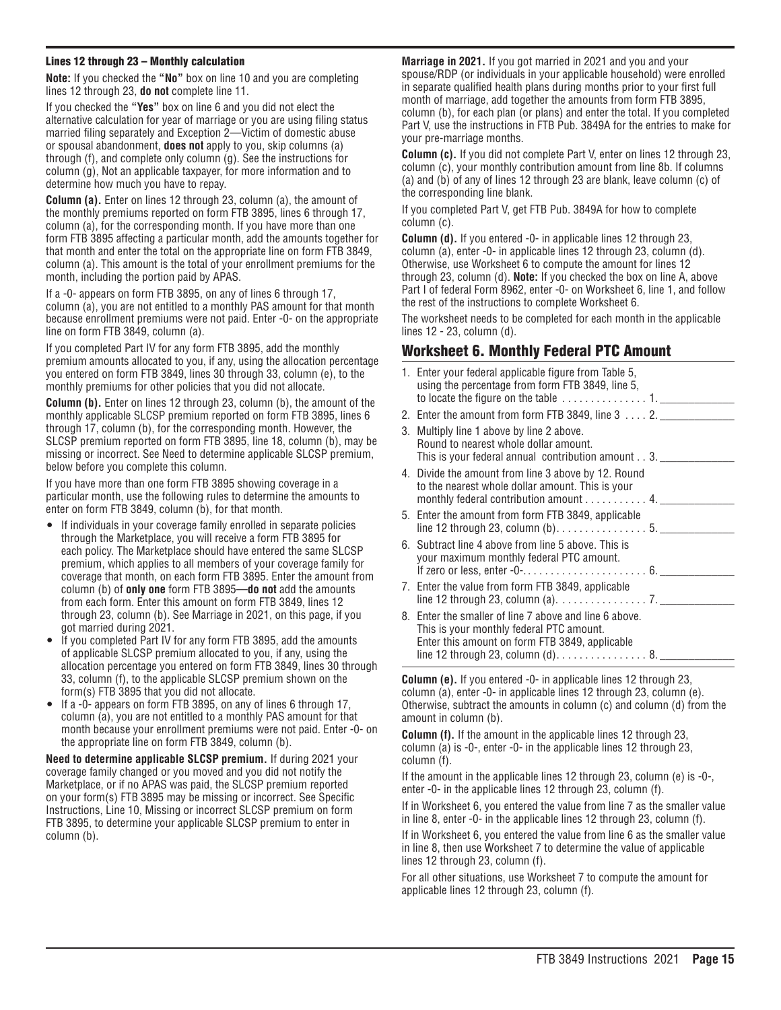#### Lines 12 through 23 – Monthly calculation

**Note:** If you checked the **"No"** box on line 10 and you are completing lines 12 through 23, **do not** complete line 11.

If you checked the **"Yes"** box on line 6 and you did not elect the alternative calculation for year of marriage or you are using filing status married filing separately and Exception 2—Victim of domestic abuse or spousal abandonment, **does not** apply to you, skip columns (a) through (f), and complete only column (g). See the instructions for column (g), Not an applicable taxpayer, for more information and to determine how much you have to repay.

**Column (a).** Enter on lines 12 through 23, column (a), the amount of the monthly premiums reported on form FTB 3895, lines 6 through 17, column (a), for the corresponding month. If you have more than one form FTB 3895 affecting a particular month, add the amounts together for that month and enter the total on the appropriate line on form FTB 3849, column (a). This amount is the total of your enrollment premiums for the month, including the portion paid by APAS.

If a -0- appears on form FTB 3895, on any of lines 6 through 17, column (a), you are not entitled to a monthly PAS amount for that month because enrollment premiums were not paid. Enter -0- on the appropriate line on form FTB 3849, column (a).

If you completed Part IV for any form FTB 3895, add the monthly premium amounts allocated to you, if any, using the allocation percentage you entered on form FTB 3849, lines 30 through 33, column (e), to the monthly premiums for other policies that you did not allocate.

**Column (b).** Enter on lines 12 through 23, column (b), the amount of the monthly applicable SLCSP premium reported on form FTB 3895, lines 6 through 17, column (b), for the corresponding month. However, the SLCSP premium reported on form FTB 3895, line 18, column (b), may be missing or incorrect. See Need to determine applicable SLCSP premium, below before you complete this column.

If you have more than one form FTB 3895 showing coverage in a particular month, use the following rules to determine the amounts to enter on form FTB 3849, column (b), for that month.

- If individuals in your coverage family enrolled in separate policies through the Marketplace, you will receive a form FTB 3895 for each policy. The Marketplace should have entered the same SLCSP premium, which applies to all members of your coverage family for coverage that month, on each form FTB 3895. Enter the amount from column (b) of **only one** form FTB 3895—**do not** add the amounts from each form. Enter this amount on form FTB 3849, lines 12 through 23, column (b). See Marriage in 2021, on this page, if you got married during 2021.
- If you completed Part IV for any form FTB 3895, add the amounts of applicable SLCSP premium allocated to you, if any, using the allocation percentage you entered on form FTB 3849, lines 30 through 33, column (f), to the applicable SLCSP premium shown on the form(s) FTB 3895 that you did not allocate.
- If a  $-0$  appears on form FTB 3895, on any of lines 6 through 17, column (a), you are not entitled to a monthly PAS amount for that month because your enrollment premiums were not paid. Enter -0- on the appropriate line on form FTB 3849, column (b).

**Need to determine applicable SLCSP premium.** If during 2021 your coverage family changed or you moved and you did not notify the Marketplace, or if no APAS was paid, the SLCSP premium reported on your form(s) FTB 3895 may be missing or incorrect. See Specific Instructions, Line 10, Missing or incorrect SLCSP premium on form FTB 3895, to determine your applicable SLCSP premium to enter in column (b).

**Marriage in 2021.** If you got married in 2021 and you and your spouse/RDP (or individuals in your applicable household) were enrolled in separate qualified health plans during months prior to your first full month of marriage, add together the amounts from form FTB 3895, column (b), for each plan (or plans) and enter the total. If you completed Part V, use the instructions in FTB Pub. 3849A for the entries to make for your pre-marriage months.

**Column (c).** If you did not complete Part V, enter on lines 12 through 23, column (c), your monthly contribution amount from line 8b. If columns (a) and (b) of any of lines 12 through 23 are blank, leave column (c) of the corresponding line blank.

If you completed Part V, get FTB Pub. 3849A for how to complete column (c).

**Column (d).** If you entered -0- in applicable lines 12 through 23, column (a), enter -0- in applicable lines 12 through 23, column (d). Otherwise, use Worksheet 6 to compute the amount for lines 12 through 23, column (d). **Note:** If you checked the box on line A, above Part I of federal Form 8962, enter -0- on Worksheet 6, line 1, and follow the rest of the instructions to complete Worksheet 6.

The worksheet needs to be completed for each month in the applicable lines 12 - 23, column (d).

### Worksheet 6. Monthly Federal PTC Amount

| 1. Enter your federal applicable figure from Table 5,<br>using the percentage from form FTB 3849, line 5,<br>to locate the figure on the table $\dots \dots \dots \dots 1$ .                |
|---------------------------------------------------------------------------------------------------------------------------------------------------------------------------------------------|
| 2. Enter the amount from form FTB 3849, line $3 \ldots 2$ .                                                                                                                                 |
| 3. Multiply line 1 above by line 2 above.<br>Round to nearest whole dollar amount.<br>This is your federal annual contribution amount 3.                                                    |
| 4. Divide the amount from line 3 above by 12. Round<br>to the nearest whole dollar amount. This is your<br>monthly federal contribution amount 4.                                           |
| 5. Enter the amount from form FTB 3849, applicable                                                                                                                                          |
| 6. Subtract line 4 above from line 5 above. This is<br>your maximum monthly federal PTC amount.                                                                                             |
| 7. Enter the value from form FTB 3849, applicable                                                                                                                                           |
| 8. Enter the smaller of line 7 above and line 6 above.<br>This is your monthly federal PTC amount.<br>Enter this amount on form FTB 3849, applicable<br>line 12 through 23, column $(d)$ 8. |

**Column (e).** If you entered -0- in applicable lines 12 through 23, column (a), enter -0- in applicable lines 12 through 23, column (e). Otherwise, subtract the amounts in column (c) and column (d) from the amount in column (b).

**Column (f).** If the amount in the applicable lines 12 through 23, column (a) is -0-, enter -0- in the applicable lines 12 through 23, column (f).

If the amount in the applicable lines 12 through 23, column (e) is  $-0$ , enter -0- in the applicable lines 12 through 23, column (f).

If in Worksheet 6, you entered the value from line 7 as the smaller value in line 8, enter -0- in the applicable lines 12 through 23, column (f).

If in Worksheet 6, you entered the value from line 6 as the smaller value in line 8, then use Worksheet 7 to determine the value of applicable lines 12 through 23, column (f).

For all other situations, use Worksheet 7 to compute the amount for applicable lines 12 through 23, column (f).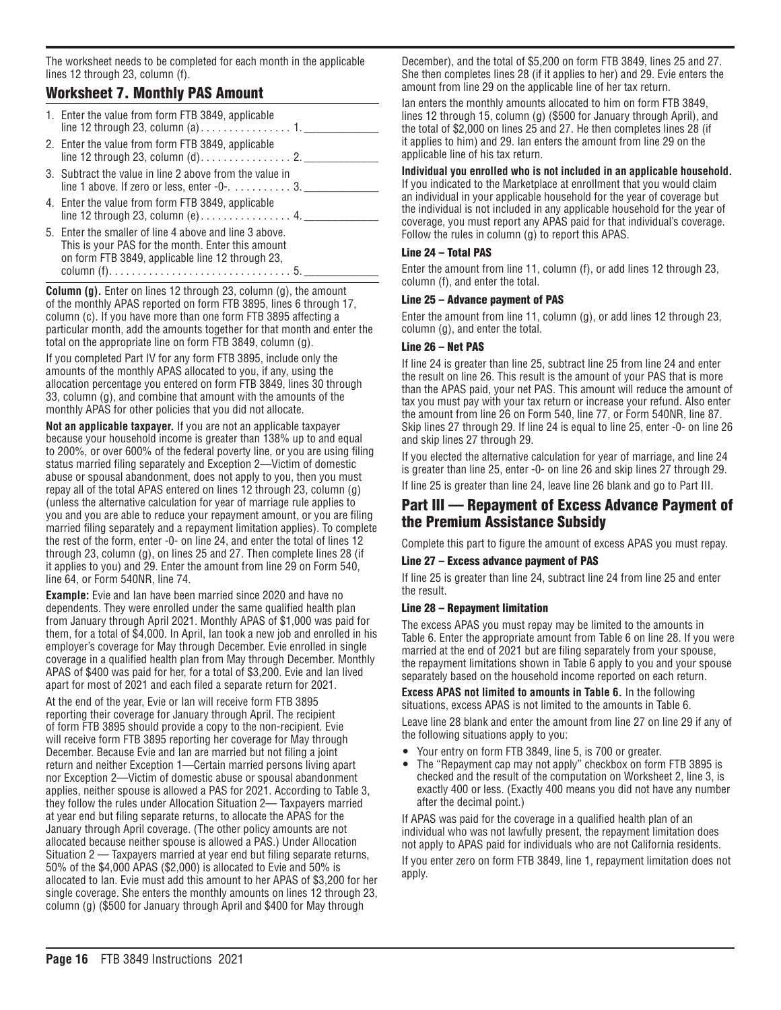The worksheet needs to be completed for each month in the applicable lines 12 through 23, column (f).

### Worksheet 7. Monthly PAS Amount

| 1. Enter the value from form FTB 3849, applicable                                                                                                               |
|-----------------------------------------------------------------------------------------------------------------------------------------------------------------|
| 2. Enter the value from form FTB 3849, applicable                                                                                                               |
| 3. Subtract the value in line 2 above from the value in<br>line 1 above. If zero or less, enter $-0$ -3.                                                        |
| 4. Enter the value from form FTB 3849, applicable                                                                                                               |
| 5. Enter the smaller of line 4 above and line 3 above.<br>This is your PAS for the month. Enter this amount<br>on form FTB 3849, applicable line 12 through 23, |

**Column (g).** Enter on lines 12 through 23, column (g), the amount of the monthly APAS reported on form FTB 3895, lines 6 through 17, column (c). If you have more than one form FTB 3895 affecting a particular month, add the amounts together for that month and enter the total on the appropriate line on form FTB 3849, column (g).

column (f)................................ 5. \_\_\_\_\_\_\_\_\_\_\_\_\_

If you completed Part IV for any form FTB 3895, include only the amounts of the monthly APAS allocated to you, if any, using the allocation percentage you entered on form FTB 3849, lines 30 through 33, column (g), and combine that amount with the amounts of the monthly APAS for other policies that you did not allocate.

**Not an applicable taxpayer.** If you are not an applicable taxpayer because your household income is greater than 138% up to and equal to 200%, or over 600% of the federal poverty line, or you are using filing status married filing separately and Exception 2—Victim of domestic abuse or spousal abandonment, does not apply to you, then you must repay all of the total APAS entered on lines 12 through 23, column (g) (unless the alternative calculation for year of marriage rule applies to you and you are able to reduce your repayment amount, or you are filing married filing separately and a repayment limitation applies). To complete the rest of the form, enter -0- on line 24, and enter the total of lines 12 through 23, column (g), on lines 25 and 27. Then complete lines 28 (if it applies to you) and 29. Enter the amount from line 29 on Form 540, line 64, or Form 540NR, line 74.

**Example:** Evie and Ian have been married since 2020 and have no dependents. They were enrolled under the same qualified health plan from January through April 2021. Monthly APAS of \$1,000 was paid for them, for a total of \$4,000. In April, Ian took a new job and enrolled in his employer's coverage for May through December. Evie enrolled in single coverage in a qualified health plan from May through December. Monthly APAS of \$400 was paid for her, for a total of \$3,200. Evie and Ian lived apart for most of 2021 and each filed a separate return for 2021.

At the end of the year, Evie or Ian will receive form FTB 3895 reporting their coverage for January through April. The recipient of form FTB 3895 should provide a copy to the non-recipient. Evie will receive form FTB 3895 reporting her coverage for May through December. Because Evie and Ian are married but not filing a joint return and neither Exception 1—Certain married persons living apart nor Exception 2—Victim of domestic abuse or spousal abandonment applies, neither spouse is allowed a PAS for 2021. According to Table 3, they follow the rules under Allocation Situation 2— Taxpayers married at year end but filing separate returns, to allocate the APAS for the January through April coverage. (The other policy amounts are not allocated because neither spouse is allowed a PAS.) Under Allocation Situation 2 — Taxpayers married at year end but filing separate returns, 50% of the \$4,000 APAS (\$2,000) is allocated to Evie and 50% is allocated to Ian. Evie must add this amount to her APAS of \$3,200 for her single coverage. She enters the monthly amounts on lines 12 through 23, column (g) (\$500 for January through April and \$400 for May through

December), and the total of \$5,200 on form FTB 3849, lines 25 and 27. She then completes lines 28 (if it applies to her) and 29. Evie enters the amount from line 29 on the applicable line of her tax return.

Ian enters the monthly amounts allocated to him on form FTB 3849, lines 12 through 15, column (g) (\$500 for January through April), and the total of \$2,000 on lines 25 and 27. He then completes lines 28 (if it applies to him) and 29. Ian enters the amount from line 29 on the applicable line of his tax return.

#### **Individual you enrolled who is not included in an applicable household.**

If you indicated to the Marketplace at enrollment that you would claim an individual in your applicable household for the year of coverage but the individual is not included in any applicable household for the year of coverage, you must report any APAS paid for that individual's coverage. Follow the rules in column (g) to report this APAS.

### Line 24 – Total PAS

Enter the amount from line 11, column (f), or add lines 12 through 23, column (f), and enter the total.

#### Line 25 – Advance payment of PAS

Enter the amount from line 11, column (g), or add lines 12 through 23, column (g), and enter the total.

#### Line 26 – Net PAS

If line 24 is greater than line 25, subtract line 25 from line 24 and enter the result on line 26. This result is the amount of your PAS that is more than the APAS paid, your net PAS. This amount will reduce the amount of tax you must pay with your tax return or increase your refund. Also enter the amount from line 26 on Form 540, line 77, or Form 540NR, line 87. Skip lines 27 through 29. If line 24 is equal to line 25, enter -0- on line 26 and skip lines 27 through 29.

If you elected the alternative calculation for year of marriage, and line 24 is greater than line 25, enter -0- on line 26 and skip lines 27 through 29. If line 25 is greater than line 24, leave line 26 blank and go to Part III.

### Part III — Repayment of Excess Advance Payment of the Premium Assistance Subsidy

Complete this part to figure the amount of excess APAS you must repay.

#### Line 27 – Excess advance payment of PAS

If line 25 is greater than line 24, subtract line 24 from line 25 and enter the result.

#### Line 28 – Repayment limitation

The excess APAS you must repay may be limited to the amounts in Table 6. Enter the appropriate amount from Table 6 on line 28. If you were married at the end of 2021 but are filing separately from your spouse, the repayment limitations shown in Table 6 apply to you and your spouse separately based on the household income reported on each return.

**Excess APAS not limited to amounts in Table 6.** In the following situations, excess APAS is not limited to the amounts in Table 6. Leave line 28 blank and enter the amount from line 27 on line 29 if any of the following situations apply to you:

- Your entry on form FTB 3849, line 5, is 700 or greater.
- The "Repayment cap may not apply" checkbox on form FTB 3895 is checked and the result of the computation on Worksheet 2, line 3, is exactly 400 or less. (Exactly 400 means you did not have any number after the decimal point.)

If APAS was paid for the coverage in a qualified health plan of an individual who was not lawfully present, the repayment limitation does not apply to APAS paid for individuals who are not California residents.

If you enter zero on form FTB 3849, line 1, repayment limitation does not apply.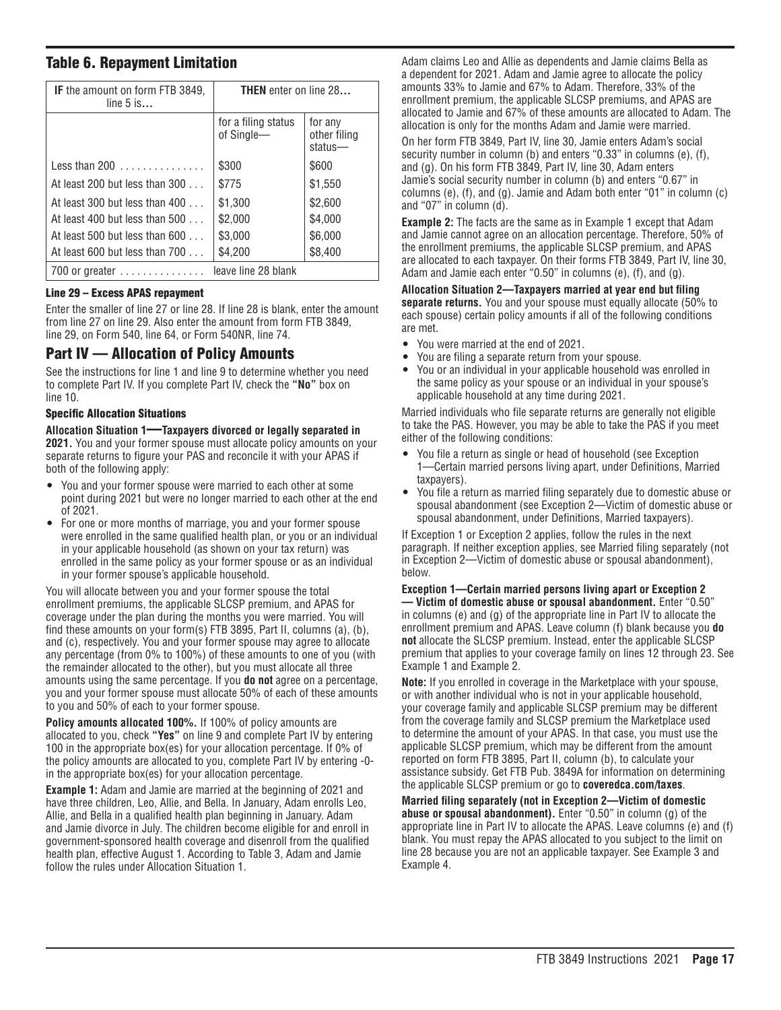### Table 6. Repayment Limitation

| <b>IF</b> the amount on form FTB 3849,<br><b>THEN</b> enter on line 28<br>line $5$ is |                                   |                                       |
|---------------------------------------------------------------------------------------|-----------------------------------|---------------------------------------|
|                                                                                       | for a filing status<br>of Single- | for any<br>other filing<br>$status$ — |
| Less than $200$                                                                       | \$300                             | \$600                                 |
| At least 200 but less than 300                                                        | \$775                             | \$1,550                               |
| At least 300 but less than $400$                                                      | \$1,300                           | \$2,600                               |
| At least 400 but less than $500$                                                      | \$2,000                           | \$4,000                               |
| At least 500 but less than 600                                                        | \$3,000                           | \$6,000                               |
| At least 600 but less than $700$                                                      | \$4,200                           | \$8,400                               |
| $700$ or greater $\ldots \ldots \ldots \ldots$                                        | leave line 28 blank               |                                       |

#### Line 29 – Excess APAS repayment

Enter the smaller of line 27 or line 28. If line 28 is blank, enter the amount from line 27 on line 29. Also enter the amount from form FTB 3849, line 29, on Form 540, line 64, or Form 540NR, line 74.

### Part IV — Allocation of Policy Amounts

See the instructions for line 1 and line 9 to determine whether you need to complete Part IV. If you complete Part IV, check the **"No"** box on line 10.

#### Specific Allocation Situations

**Allocation Situation 1**—**Taxpayers divorced or legally separated in 2021.** You and your former spouse must allocate policy amounts on your separate returns to figure your PAS and reconcile it with your APAS if both of the following apply:

- You and your former spouse were married to each other at some point during 2021 but were no longer married to each other at the end of 2021.
- For one or more months of marriage, you and your former spouse were enrolled in the same qualified health plan, or you or an individual in your applicable household (as shown on your tax return) was enrolled in the same policy as your former spouse or as an individual in your former spouse's applicable household.

You will allocate between you and your former spouse the total enrollment premiums, the applicable SLCSP premium, and APAS for coverage under the plan during the months you were married. You will find these amounts on your form(s) FTB 3895, Part II, columns (a), (b), and (c), respectively. You and your former spouse may agree to allocate any percentage (from 0% to 100%) of these amounts to one of you (with the remainder allocated to the other), but you must allocate all three amounts using the same percentage. If you **do not** agree on a percentage, you and your former spouse must allocate 50% of each of these amounts to you and 50% of each to your former spouse.

**Policy amounts allocated 100%.** If 100% of policy amounts are allocated to you, check **"Yes"** on line 9 and complete Part IV by entering 100 in the appropriate box(es) for your allocation percentage. If 0% of the policy amounts are allocated to you, complete Part IV by entering -0in the appropriate box(es) for your allocation percentage.

**Example 1:** Adam and Jamie are married at the beginning of 2021 and have three children, Leo, Allie, and Bella. In January, Adam enrolls Leo, Allie, and Bella in a qualified health plan beginning in January. Adam and Jamie divorce in July. The children become eligible for and enroll in government-sponsored health coverage and disenroll from the qualified health plan, effective August 1. According to Table 3, Adam and Jamie follow the rules under Allocation Situation 1.

Adam claims Leo and Allie as dependents and Jamie claims Bella as a dependent for 2021. Adam and Jamie agree to allocate the policy amounts 33% to Jamie and 67% to Adam. Therefore, 33% of the enrollment premium, the applicable SLCSP premiums, and APAS are allocated to Jamie and 67% of these amounts are allocated to Adam. The allocation is only for the months Adam and Jamie were married.

On her form FTB 3849, Part IV, line 30, Jamie enters Adam's social security number in column (b) and enters "0.33" in columns (e), (f), and (g). On his form FTB 3849, Part IV, line 30, Adam enters Jamie's social security number in column (b) and enters "0.67" in columns (e), (f), and (g). Jamie and Adam both enter "01" in column (c) and "07" in column (d).

**Example 2:** The facts are the same as in Example 1 except that Adam and Jamie cannot agree on an allocation percentage. Therefore, 50% of the enrollment premiums, the applicable SLCSP premium, and APAS are allocated to each taxpayer. On their forms FTB 3849, Part IV, line 30, Adam and Jamie each enter "0.50" in columns (e), (f), and (g).

**Allocation Situation 2—Taxpayers married at year end but filing separate returns.** You and your spouse must equally allocate (50% to each spouse) certain policy amounts if all of the following conditions are met.

- You were married at the end of 2021.
- You are filing a separate return from your spouse.
- You or an individual in your applicable household was enrolled in the same policy as your spouse or an individual in your spouse's applicable household at any time during 2021.

Married individuals who file separate returns are generally not eligible to take the PAS. However, you may be able to take the PAS if you meet either of the following conditions:

- You file a return as single or head of household (see Exception 1—Certain married persons living apart, under Definitions, Married taxpayers).
- You file a return as married filing separately due to domestic abuse or spousal abandonment (see Exception 2—Victim of domestic abuse or spousal abandonment, under Definitions, Married taxpayers).

If Exception 1 or Exception 2 applies, follow the rules in the next paragraph. If neither exception applies, see Married filing separately (not in Exception 2—Victim of domestic abuse or spousal abandonment), below.

**Exception 1—Certain married persons living apart or Exception 2 — Victim of domestic abuse or spousal abandonment.** Enter "0.50" in columns (e) and (g) of the appropriate line in Part IV to allocate the enrollment premium and APAS. Leave column (f) blank because you **do not** allocate the SLCSP premium. Instead, enter the applicable SLCSP premium that applies to your coverage family on lines 12 through 23. See Example 1 and Example 2.

**Note:** If you enrolled in coverage in the Marketplace with your spouse, or with another individual who is not in your applicable household, your coverage family and applicable SLCSP premium may be different from the coverage family and SLCSP premium the Marketplace used to determine the amount of your APAS. In that case, you must use the applicable SLCSP premium, which may be different from the amount reported on form FTB 3895, Part II, column (b), to calculate your assistance subsidy. Get FTB Pub. 3849A for information on determining the applicable SLCSP premium or go to **coveredca.com/taxes**.

**Married filing separately (not in Exception 2—Victim of domestic abuse or spousal abandonment).** Enter "0.50" in column (g) of the appropriate line in Part IV to allocate the APAS. Leave columns (e) and (f) blank. You must repay the APAS allocated to you subject to the limit on line 28 because you are not an applicable taxpayer. See Example 3 and Example 4.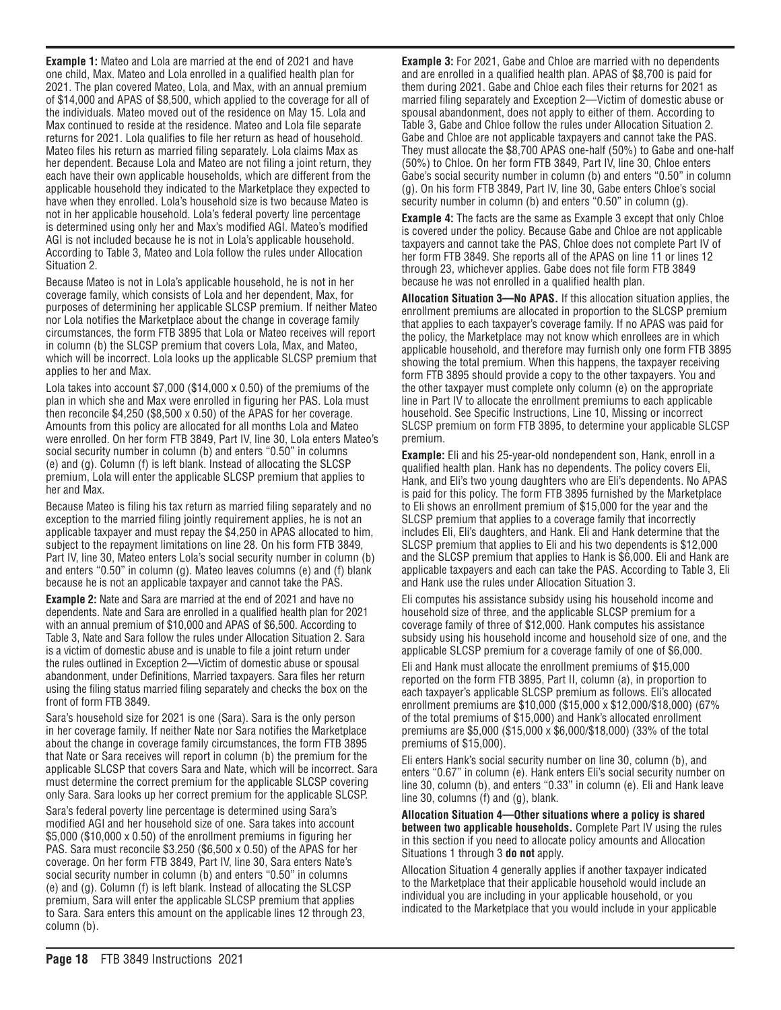**Example 1:** Mateo and Lola are married at the end of 2021 and have one child, Max. Mateo and Lola enrolled in a qualified health plan for 2021. The plan covered Mateo, Lola, and Max, with an annual premium of \$14,000 and APAS of \$8,500, which applied to the coverage for all of the individuals. Mateo moved out of the residence on May 15. Lola and Max continued to reside at the residence. Mateo and Lola file separate returns for 2021. Lola qualifies to file her return as head of household. Mateo files his return as married filing separately. Lola claims Max as her dependent. Because Lola and Mateo are not filing a joint return, they each have their own applicable households, which are different from the applicable household they indicated to the Marketplace they expected to have when they enrolled. Lola's household size is two because Mateo is not in her applicable household. Lola's federal poverty line percentage is determined using only her and Max's modified AGI. Mateo's modified AGI is not included because he is not in Lola's applicable household. According to Table 3, Mateo and Lola follow the rules under Allocation Situation 2.

Because Mateo is not in Lola's applicable household, he is not in her coverage family, which consists of Lola and her dependent, Max, for purposes of determining her applicable SLCSP premium. If neither Mateo nor Lola notifies the Marketplace about the change in coverage family circumstances, the form FTB 3895 that Lola or Mateo receives will report in column (b) the SLCSP premium that covers Lola, Max, and Mateo, which will be incorrect. Lola looks up the applicable SLCSP premium that applies to her and Max.

Lola takes into account \$7,000 (\$14,000 x 0.50) of the premiums of the plan in which she and Max were enrolled in figuring her PAS. Lola must then reconcile \$4,250 (\$8,500 x 0.50) of the APAS for her coverage. Amounts from this policy are allocated for all months Lola and Mateo were enrolled. On her form FTB 3849, Part IV, line 30, Lola enters Mateo's social security number in column (b) and enters "0.50" in columns (e) and (g). Column (f) is left blank. Instead of allocating the SLCSP premium, Lola will enter the applicable SLCSP premium that applies to her and Max.

Because Mateo is filing his tax return as married filing separately and no exception to the married filing jointly requirement applies, he is not an applicable taxpayer and must repay the \$4,250 in APAS allocated to him, subject to the repayment limitations on line 28. On his form FTB 3849, Part IV, line 30, Mateo enters Lola's social security number in column (b) and enters "0.50" in column (g). Mateo leaves columns (e) and (f) blank because he is not an applicable taxpayer and cannot take the PAS.

**Example 2:** Nate and Sara are married at the end of 2021 and have no dependents. Nate and Sara are enrolled in a qualified health plan for 2021 with an annual premium of \$10,000 and APAS of \$6,500. According to Table 3, Nate and Sara follow the rules under Allocation Situation 2. Sara is a victim of domestic abuse and is unable to file a joint return under the rules outlined in Exception 2—Victim of domestic abuse or spousal abandonment, under Definitions, Married taxpayers. Sara files her return using the filing status married filing separately and checks the box on the front of form FTB 3849.

Sara's household size for 2021 is one (Sara). Sara is the only person in her coverage family. If neither Nate nor Sara notifies the Marketplace about the change in coverage family circumstances, the form FTB 3895 that Nate or Sara receives will report in column (b) the premium for the applicable SLCSP that covers Sara and Nate, which will be incorrect. Sara must determine the correct premium for the applicable SLCSP covering only Sara. Sara looks up her correct premium for the applicable SLCSP.

Sara's federal poverty line percentage is determined using Sara's modified AGI and her household size of one. Sara takes into account \$5,000 (\$10,000 x 0.50) of the enrollment premiums in figuring her PAS. Sara must reconcile \$3,250 (\$6,500 x 0.50) of the APAS for her coverage. On her form FTB 3849, Part IV, line 30, Sara enters Nate's social security number in column (b) and enters "0.50" in columns (e) and (g). Column (f) is left blank. Instead of allocating the SLCSP premium, Sara will enter the applicable SLCSP premium that applies to Sara. Sara enters this amount on the applicable lines 12 through 23, column (b).

**Example 3:** For 2021, Gabe and Chloe are married with no dependents and are enrolled in a qualified health plan. APAS of \$8,700 is paid for them during 2021. Gabe and Chloe each files their returns for 2021 as married filing separately and Exception 2—Victim of domestic abuse or spousal abandonment, does not apply to either of them. According to Table 3, Gabe and Chloe follow the rules under Allocation Situation 2. Gabe and Chloe are not applicable taxpayers and cannot take the PAS. They must allocate the \$8,700 APAS one-half (50%) to Gabe and one-half (50%) to Chloe. On her form FTB 3849, Part IV, line 30, Chloe enters Gabe's social security number in column (b) and enters "0.50" in column (g). On his form FTB 3849, Part IV, line 30, Gabe enters Chloe's social security number in column (b) and enters "0.50" in column (g).

**Example 4:** The facts are the same as Example 3 except that only Chloe is covered under the policy. Because Gabe and Chloe are not applicable taxpayers and cannot take the PAS, Chloe does not complete Part IV of her form FTB 3849. She reports all of the APAS on line 11 or lines 12 through 23, whichever applies. Gabe does not file form FTB 3849 because he was not enrolled in a qualified health plan.

**Allocation Situation 3—No APAS.** If this allocation situation applies, the enrollment premiums are allocated in proportion to the SLCSP premium that applies to each taxpayer's coverage family. If no APAS was paid for the policy, the Marketplace may not know which enrollees are in which applicable household, and therefore may furnish only one form FTB 3895 showing the total premium. When this happens, the taxpayer receiving form FTB 3895 should provide a copy to the other taxpayers. You and the other taxpayer must complete only column (e) on the appropriate line in Part IV to allocate the enrollment premiums to each applicable household. See Specific Instructions, Line 10, Missing or incorrect SLCSP premium on form FTB 3895, to determine your applicable SLCSP premium.

**Example:** Eli and his 25-year-old nondependent son, Hank, enroll in a qualified health plan. Hank has no dependents. The policy covers Eli, Hank, and Eli's two young daughters who are Eli's dependents. No APAS is paid for this policy. The form FTB 3895 furnished by the Marketplace to Eli shows an enrollment premium of \$15,000 for the year and the SLCSP premium that applies to a coverage family that incorrectly includes Eli, Eli's daughters, and Hank. Eli and Hank determine that the SLCSP premium that applies to Eli and his two dependents is \$12,000 and the SLCSP premium that applies to Hank is \$6,000. Eli and Hank are applicable taxpayers and each can take the PAS. According to Table 3, Eli and Hank use the rules under Allocation Situation 3.

Eli computes his assistance subsidy using his household income and household size of three, and the applicable SLCSP premium for a coverage family of three of \$12,000. Hank computes his assistance subsidy using his household income and household size of one, and the applicable SLCSP premium for a coverage family of one of \$6,000.

Eli and Hank must allocate the enrollment premiums of \$15,000 reported on the form FTB 3895, Part II, column (a), in proportion to each taxpayer's applicable SLCSP premium as follows. Eli's allocated enrollment premiums are \$10,000 (\$15,000 x \$12,000/\$18,000) (67% of the total premiums of \$15,000) and Hank's allocated enrollment premiums are \$5,000 (\$15,000 x \$6,000/\$18,000) (33% of the total premiums of \$15,000).

Eli enters Hank's social security number on line 30, column (b), and enters "0.67" in column (e). Hank enters Eli's social security number on line 30, column (b), and enters "0.33" in column (e). Eli and Hank leave line 30, columns (f) and (g), blank.

**Allocation Situation 4—Other situations where a policy is shared between two applicable households.** Complete Part IV using the rules in this section if you need to allocate policy amounts and Allocation Situations 1 through 3 **do not** apply.

Allocation Situation 4 generally applies if another taxpayer indicated to the Marketplace that their applicable household would include an individual you are including in your applicable household, or you indicated to the Marketplace that you would include in your applicable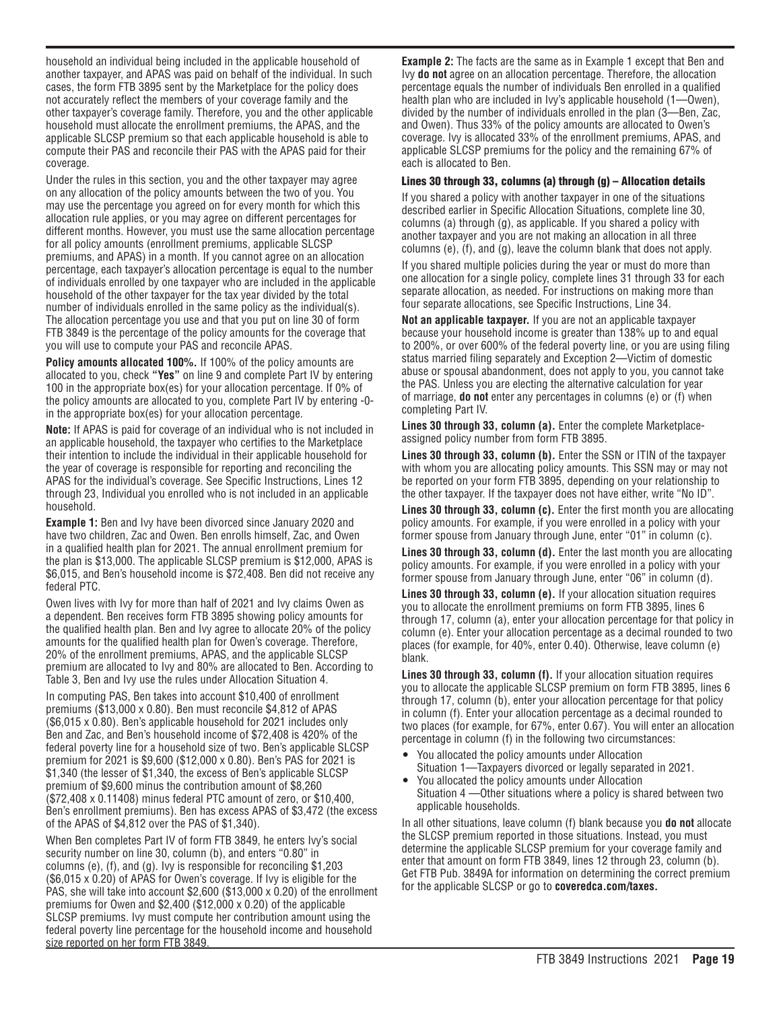household an individual being included in the applicable household of another taxpayer, and APAS was paid on behalf of the individual. In such cases, the form FTB 3895 sent by the Marketplace for the policy does not accurately reflect the members of your coverage family and the other taxpayer's coverage family. Therefore, you and the other applicable household must allocate the enrollment premiums, the APAS, and the applicable SLCSP premium so that each applicable household is able to compute their PAS and reconcile their PAS with the APAS paid for their coverage.

Under the rules in this section, you and the other taxpayer may agree on any allocation of the policy amounts between the two of you. You may use the percentage you agreed on for every month for which this allocation rule applies, or you may agree on different percentages for different months. However, you must use the same allocation percentage for all policy amounts (enrollment premiums, applicable SLCSP premiums, and APAS) in a month. If you cannot agree on an allocation percentage, each taxpayer's allocation percentage is equal to the number of individuals enrolled by one taxpayer who are included in the applicable household of the other taxpayer for the tax year divided by the total number of individuals enrolled in the same policy as the individual(s). The allocation percentage you use and that you put on line 30 of form FTB 3849 is the percentage of the policy amounts for the coverage that you will use to compute your PAS and reconcile APAS.

**Policy amounts allocated 100%.** If 100% of the policy amounts are allocated to you, check **"Yes"** on line 9 and complete Part IV by entering 100 in the appropriate box(es) for your allocation percentage. If 0% of the policy amounts are allocated to you, complete Part IV by entering -0in the appropriate box(es) for your allocation percentage.

**Note:** If APAS is paid for coverage of an individual who is not included in an applicable household, the taxpayer who certifies to the Marketplace their intention to include the individual in their applicable household for the year of coverage is responsible for reporting and reconciling the APAS for the individual's coverage. See Specific Instructions, Lines 12 through 23, Individual you enrolled who is not included in an applicable household.

**Example 1:** Ben and Ivy have been divorced since January 2020 and have two children, Zac and Owen. Ben enrolls himself, Zac, and Owen in a qualified health plan for 2021. The annual enrollment premium for the plan is \$13,000. The applicable SLCSP premium is \$12,000, APAS is \$6,015, and Ben's household income is \$72,408. Ben did not receive any federal PTC.

Owen lives with Ivy for more than half of 2021 and Ivy claims Owen as a dependent. Ben receives form FTB 3895 showing policy amounts for the qualified health plan. Ben and Ivy agree to allocate 20% of the policy amounts for the qualified health plan for Owen's coverage. Therefore, 20% of the enrollment premiums, APAS, and the applicable SLCSP premium are allocated to Ivy and 80% are allocated to Ben. According to Table 3, Ben and Ivy use the rules under Allocation Situation 4.

In computing PAS, Ben takes into account \$10,400 of enrollment premiums (\$13,000 x 0.80). Ben must reconcile \$4,812 of APAS (\$6,015 x 0.80). Ben's applicable household for 2021 includes only Ben and Zac, and Ben's household income of \$72,408 is 420% of the federal poverty line for a household size of two. Ben's applicable SLCSP premium for 2021 is \$9,600 (\$12,000 x 0.80). Ben's PAS for 2021 is \$1,340 (the lesser of \$1,340, the excess of Ben's applicable SLCSP premium of \$9,600 minus the contribution amount of \$8,260 (\$72,408 x 0.11408) minus federal PTC amount of zero, or \$10,400, Ben's enrollment premiums). Ben has excess APAS of \$3,472 (the excess of the APAS of \$4,812 over the PAS of \$1,340).

When Ben completes Part IV of form FTB 3849, he enters Ivy's social security number on line 30, column (b), and enters "0.80" in columns (e), (f), and (g). Ivy is responsible for reconciling \$1,203 (\$6,015 x 0.20) of APAS for Owen's coverage. If Ivy is eligible for the PAS, she will take into account \$2,600 (\$13,000 x 0.20) of the enrollment premiums for Owen and \$2,400 (\$12,000 x 0.20) of the applicable SLCSP premiums. Ivy must compute her contribution amount using the federal poverty line percentage for the household income and household size reported on her form FTB 3849.

**Example 2:** The facts are the same as in Example 1 except that Ben and Ivy **do not** agree on an allocation percentage. Therefore, the allocation percentage equals the number of individuals Ben enrolled in a qualified health plan who are included in Ivy's applicable household (1—Owen), divided by the number of individuals enrolled in the plan (3—Ben, Zac, and Owen). Thus 33% of the policy amounts are allocated to Owen's coverage. Ivy is allocated 33% of the enrollment premiums, APAS, and applicable SLCSP premiums for the policy and the remaining 67% of each is allocated to Ben.

#### Lines 30 through 33, columns (a) through (g) – Allocation details

If you shared a policy with another taxpayer in one of the situations described earlier in Specific Allocation Situations, complete line 30, columns (a) through (g), as applicable. If you shared a policy with another taxpayer and you are not making an allocation in all three columns (e), (f), and (g), leave the column blank that does not apply.

If you shared multiple policies during the year or must do more than one allocation for a single policy, complete lines 31 through 33 for each separate allocation, as needed. For instructions on making more than four separate allocations, see Specific Instructions, Line 34.

**Not an applicable taxpayer.** If you are not an applicable taxpayer because your household income is greater than 138% up to and equal to 200%, or over 600% of the federal poverty line, or you are using filing status married filing separately and Exception 2—Victim of domestic abuse or spousal abandonment, does not apply to you, you cannot take the PAS. Unless you are electing the alternative calculation for year of marriage, **do not** enter any percentages in columns (e) or (f) when completing Part IV.

**Lines 30 through 33, column (a).** Enter the complete Marketplaceassigned policy number from form FTB 3895.

**Lines 30 through 33, column (b).** Enter the SSN or ITIN of the taxpayer with whom you are allocating policy amounts. This SSN may or may not be reported on your form FTB 3895, depending on your relationship to the other taxpayer. If the taxpayer does not have either, write "No ID".

**Lines 30 through 33, column (c).** Enter the first month you are allocating policy amounts. For example, if you were enrolled in a policy with your former spouse from January through June, enter "01" in column (c).

**Lines 30 through 33, column (d).** Enter the last month you are allocating policy amounts. For example, if you were enrolled in a policy with your former spouse from January through June, enter "06" in column (d).

**Lines 30 through 33, column (e).** If your allocation situation requires you to allocate the enrollment premiums on form FTB 3895, lines 6 through 17, column (a), enter your allocation percentage for that policy in column (e). Enter your allocation percentage as a decimal rounded to two places (for example, for 40%, enter 0.40). Otherwise, leave column (e) blank.

**Lines 30 through 33, column (f).** If your allocation situation requires you to allocate the applicable SLCSP premium on form FTB 3895, lines 6 through 17, column (b), enter your allocation percentage for that policy in column (f). Enter your allocation percentage as a decimal rounded to two places (for example, for 67%, enter 0.67). You will enter an allocation percentage in column (f) in the following two circumstances:

- You allocated the policy amounts under Allocation Situation 1—Taxpayers divorced or legally separated in 2021.
- You allocated the policy amounts under Allocation Situation 4 —Other situations where a policy is shared between two applicable households.

In all other situations, leave column (f) blank because you **do not** allocate the SLCSP premium reported in those situations. Instead, you must determine the applicable SLCSP premium for your coverage family and enter that amount on form FTB 3849, lines 12 through 23, column (b). Get FTB Pub. 3849A for information on determining the correct premium for the applicable SLCSP or go to **coveredca.com/taxes.**